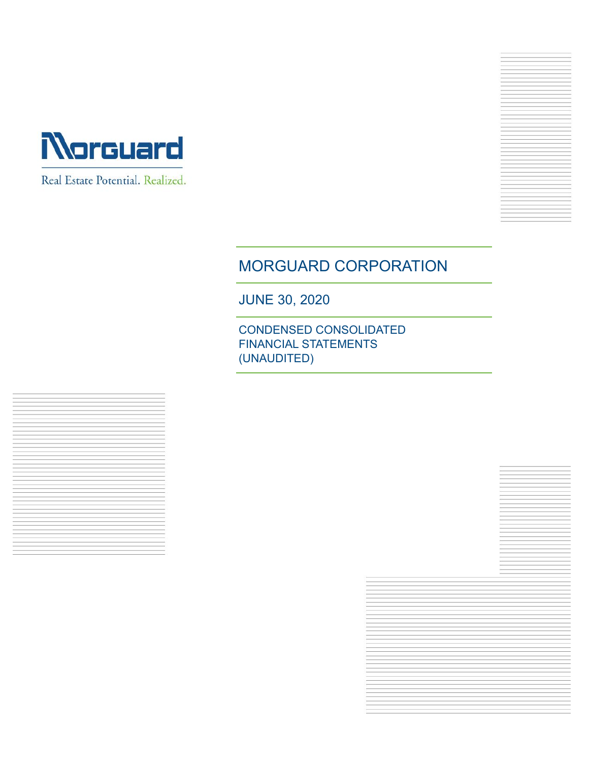

Real Estate Potential. Realized.

# MORGUARD CORPORATION

JUNE 30, 2020

CONDENSED CONSOLIDATED FINANCIAL STATEMENTS (UNAUDITED)

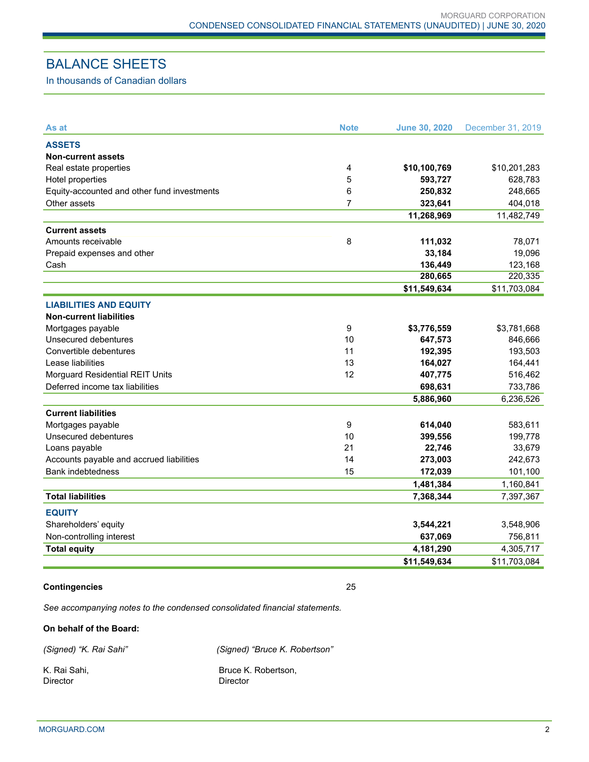# BALANCE SHEETS

In thousands of Canadian dollars

| As at                                       | <b>Note</b> | <b>June 30, 2020</b> | December 31, 2019 |
|---------------------------------------------|-------------|----------------------|-------------------|
| <b>ASSETS</b>                               |             |                      |                   |
| <b>Non-current assets</b>                   |             |                      |                   |
| Real estate properties                      | 4           | \$10,100,769         | \$10,201,283      |
| Hotel properties                            | 5           | 593,727              | 628,783           |
| Equity-accounted and other fund investments | 6           | 250,832              | 248,665           |
| Other assets                                | 7           | 323,641              | 404,018           |
|                                             |             | 11,268,969           | 11,482,749        |
| <b>Current assets</b>                       |             |                      |                   |
| Amounts receivable                          | 8           | 111,032              | 78,071            |
| Prepaid expenses and other                  |             | 33,184               | 19,096            |
| Cash                                        |             | 136,449              | 123,168           |
|                                             |             | 280,665              | 220,335           |
|                                             |             | \$11,549,634         | \$11,703,084      |
| <b>LIABILITIES AND EQUITY</b>               |             |                      |                   |
| <b>Non-current liabilities</b>              |             |                      |                   |
| Mortgages payable                           | 9           | \$3,776,559          | \$3,781,668       |
| Unsecured debentures                        | 10          | 647,573              | 846,666           |
| Convertible debentures                      | 11          | 192,395              | 193,503           |
| Lease liabilities                           | 13          | 164,027              | 164,441           |
| Morguard Residential REIT Units             | 12          | 407,775              | 516,462           |
| Deferred income tax liabilities             |             | 698,631              | 733,786           |
|                                             |             | 5,886,960            | 6,236,526         |
| <b>Current liabilities</b>                  |             |                      |                   |
| Mortgages payable                           | 9           | 614,040              | 583,611           |
| Unsecured debentures                        | 10          | 399,556              | 199,778           |
| Loans payable                               | 21          | 22,746               | 33,679            |
| Accounts payable and accrued liabilities    | 14          | 273,003              | 242,673           |
| <b>Bank indebtedness</b>                    | 15          | 172,039              | 101,100           |
|                                             |             | 1,481,384            | 1,160,841         |
| <b>Total liabilities</b>                    |             | 7,368,344            | 7,397,367         |
| <b>EQUITY</b>                               |             |                      |                   |
| Shareholders' equity                        |             | 3,544,221            | 3,548,906         |
| Non-controlling interest                    |             | 637,069              | 756,811           |
| <b>Total equity</b>                         |             | 4,181,290            | 4,305,717         |
|                                             |             | \$11,549,634         | \$11,703,084      |

#### **Contingencies** 25

*See accompanying notes to the condensed consolidated financial statements.*

**On behalf of the Board:**

*(Signed) "K. Rai Sahi" (Signed) "Bruce K. Robertson"* 

Director Director

K. Rai Sahi, **Bruce K. Robertson**,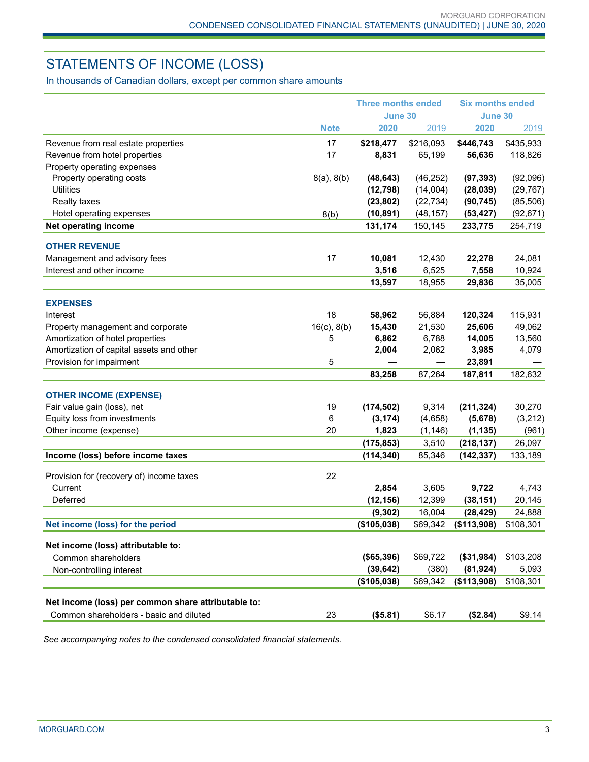# STATEMENTS OF INCOME (LOSS)

In thousands of Canadian dollars, except per common share amounts

|                                                           |                  | <b>Three months ended</b> |           | <b>Six months ended</b> |           |
|-----------------------------------------------------------|------------------|---------------------------|-----------|-------------------------|-----------|
|                                                           |                  | June 30                   |           | <b>June 30</b>          |           |
|                                                           | <b>Note</b>      | 2020                      | 2019      | 2020                    | 2019      |
| Revenue from real estate properties                       | 17               | \$218,477                 | \$216,093 | \$446,743               | \$435,933 |
| Revenue from hotel properties                             | 17               | 8,831                     | 65,199    | 56,636                  | 118,826   |
| Property operating expenses                               |                  |                           |           |                         |           |
| Property operating costs                                  | 8(a), 8(b)       | (48, 643)                 | (46, 252) | (97, 393)               | (92,096)  |
| <b>Utilities</b>                                          |                  | (12, 798)                 | (14,004)  | (28, 039)               | (29, 767) |
| <b>Realty taxes</b>                                       |                  | (23, 802)                 | (22, 734) | (90, 745)               | (85, 506) |
| Hotel operating expenses                                  | 8(b)             | (10, 891)                 | (48, 157) | (53, 427)               | (92, 671) |
| Net operating income                                      |                  | 131,174                   | 150,145   | 233,775                 | 254,719   |
| <b>OTHER REVENUE</b>                                      |                  |                           |           |                         |           |
| Management and advisory fees                              | 17               | 10,081                    | 12,430    | 22,278                  | 24,081    |
| Interest and other income                                 |                  | 3,516                     | 6,525     | 7,558                   | 10,924    |
|                                                           |                  | 13,597                    | 18,955    | 29,836                  | 35,005    |
|                                                           |                  |                           |           |                         |           |
| <b>EXPENSES</b>                                           |                  |                           |           |                         |           |
| Interest                                                  | 18               | 58,962                    | 56,884    | 120,324                 | 115,931   |
| Property management and corporate                         | $16(c)$ , $8(b)$ | 15,430                    | 21,530    | 25,606                  | 49,062    |
| Amortization of hotel properties                          | 5                | 6,862                     | 6,788     | 14,005                  | 13,560    |
| Amortization of capital assets and other                  |                  | 2,004                     | 2,062     | 3,985                   | 4,079     |
| Provision for impairment                                  | 5                |                           |           | 23,891                  |           |
|                                                           |                  | 83,258                    | 87,264    | 187,811                 | 182,632   |
| <b>OTHER INCOME (EXPENSE)</b>                             |                  |                           |           |                         |           |
| Fair value gain (loss), net                               | 19               | (174, 502)                | 9,314     | (211, 324)              | 30,270    |
| Equity loss from investments                              | 6                | (3, 174)                  | (4,658)   | (5,678)                 | (3,212)   |
| Other income (expense)                                    | 20               | 1,823                     | (1, 146)  | (1, 135)                | (961)     |
|                                                           |                  | (175, 853)                | 3,510     | (218, 137)              | 26,097    |
| Income (loss) before income taxes                         |                  | (114, 340)                | 85,346    | (142, 337)              | 133,189   |
| Provision for (recovery of) income taxes                  | 22               |                           |           |                         |           |
| Current                                                   |                  | 2,854                     | 3,605     | 9,722                   | 4,743     |
| Deferred                                                  |                  | (12, 156)                 | 12,399    | (38, 151)               | 20,145    |
|                                                           |                  | (9, 302)                  | 16,004    | (28, 429)               | 24,888    |
| Net income (loss) for the period                          |                  | (\$105,038)               | \$69,342  | (\$113,908)             | \$108,301 |
|                                                           |                  |                           |           |                         |           |
| Net income (loss) attributable to:<br>Common shareholders |                  | (\$65,396)                | \$69,722  | (\$31,984)              | \$103,208 |
| Non-controlling interest                                  |                  | (39, 642)                 | (380)     | (81, 924)               | 5,093     |
|                                                           |                  | (\$105,038)               | \$69,342  | (\$113,908)             | \$108,301 |
|                                                           |                  |                           |           |                         |           |
| Net income (loss) per common share attributable to:       |                  |                           |           |                         |           |
| Common shareholders - basic and diluted                   | 23               | (\$5.81)                  | \$6.17    | (\$2.84)                | \$9.14    |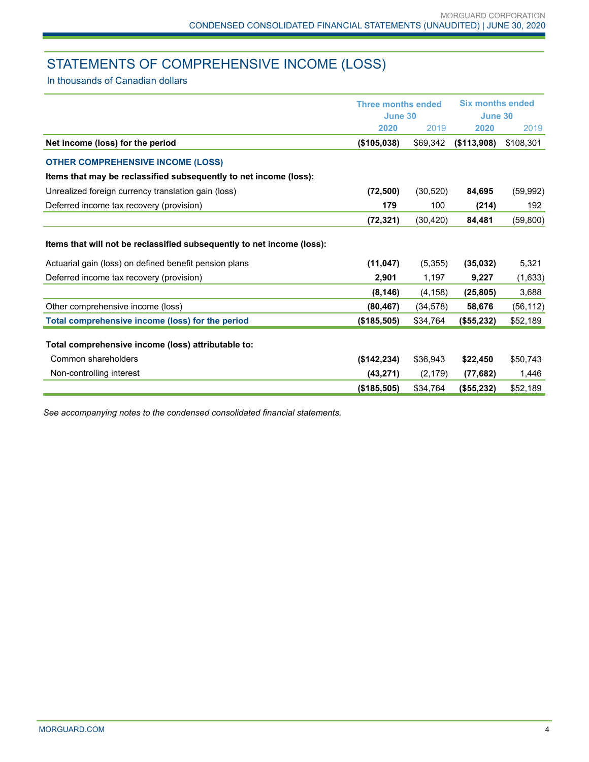# STATEMENTS OF COMPREHENSIVE INCOME (LOSS)

In thousands of Canadian dollars

|                                                                        | <b>Three months ended</b> |           | <b>Six months ended</b><br>June 30 |           |
|------------------------------------------------------------------------|---------------------------|-----------|------------------------------------|-----------|
|                                                                        | June 30                   |           |                                    |           |
|                                                                        | 2020                      | 2019      | 2020                               | 2019      |
| Net income (loss) for the period                                       | (\$105,038)               | \$69,342  | (\$113,908)                        | \$108,301 |
| <b>OTHER COMPREHENSIVE INCOME (LOSS)</b>                               |                           |           |                                    |           |
| Items that may be reclassified subsequently to net income (loss):      |                           |           |                                    |           |
| Unrealized foreign currency translation gain (loss)                    | (72, 500)                 | (30, 520) | 84,695                             | (59, 992) |
| Deferred income tax recovery (provision)                               | 179                       | 100       | (214)                              | 192       |
|                                                                        | (72, 321)                 | (30, 420) | 84,481                             | (59, 800) |
| Items that will not be reclassified subsequently to net income (loss): |                           |           |                                    |           |
| Actuarial gain (loss) on defined benefit pension plans                 | (11, 047)                 | (5,355)   | (35,032)                           | 5,321     |
| Deferred income tax recovery (provision)                               | 2,901                     | 1,197     | 9,227                              | (1,633)   |
|                                                                        | (8, 146)                  | (4, 158)  | (25, 805)                          | 3,688     |
| Other comprehensive income (loss)                                      | (80, 467)                 | (34, 578) | 58,676                             | (56, 112) |
| Total comprehensive income (loss) for the period                       | (\$185,505)               | \$34,764  | (\$55,232)                         | \$52,189  |
| Total comprehensive income (loss) attributable to:                     |                           |           |                                    |           |
| Common shareholders                                                    | (\$142, 234)              | \$36,943  | \$22,450                           | \$50,743  |
| Non-controlling interest                                               | (43, 271)                 | (2, 179)  | (77, 682)                          | 1,446     |
|                                                                        | (\$185,505)               | \$34,764  | (\$55,232)                         | \$52,189  |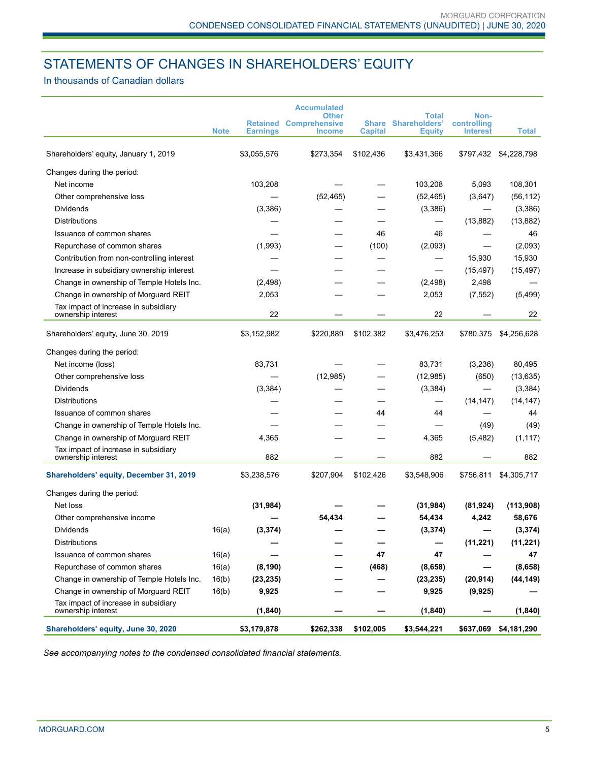# STATEMENTS OF CHANGES IN SHAREHOLDERS' EQUITY

## In thousands of Canadian dollars

|                                                            |             |                 | <b>Accumulated</b><br><b>Other</b>             |                                | <b>Total</b>                          | Non-                           |              |
|------------------------------------------------------------|-------------|-----------------|------------------------------------------------|--------------------------------|---------------------------------------|--------------------------------|--------------|
|                                                            | <b>Note</b> | <b>Earnings</b> | <b>Retained Comprehensive</b><br><b>Income</b> | <b>Share</b><br><b>Capital</b> | <b>Shareholders'</b><br><b>Equity</b> | controlling<br><b>Interest</b> | <b>Total</b> |
| Shareholders' equity, January 1, 2019                      |             | \$3,055,576     | \$273,354                                      | \$102,436                      | \$3,431,366                           | \$797,432                      | \$4,228,798  |
| Changes during the period:                                 |             |                 |                                                |                                |                                       |                                |              |
| Net income                                                 |             | 103,208         |                                                |                                | 103,208                               | 5,093                          | 108,301      |
| Other comprehensive loss                                   |             |                 | (52, 465)                                      |                                | (52, 465)                             | (3,647)                        | (56, 112)    |
| <b>Dividends</b>                                           |             | (3,386)         |                                                |                                | (3,386)                               |                                | (3,386)      |
| <b>Distributions</b>                                       |             |                 |                                                |                                |                                       | (13, 882)                      | (13, 882)    |
| Issuance of common shares                                  |             |                 |                                                | 46                             | 46                                    |                                | 46           |
| Repurchase of common shares                                |             | (1,993)         |                                                | (100)                          | (2,093)                               |                                | (2,093)      |
| Contribution from non-controlling interest                 |             |                 |                                                |                                |                                       | 15,930                         | 15,930       |
| Increase in subsidiary ownership interest                  |             |                 |                                                |                                |                                       | (15, 497)                      | (15, 497)    |
| Change in ownership of Temple Hotels Inc.                  |             | (2, 498)        |                                                |                                | (2, 498)                              | 2,498                          |              |
| Change in ownership of Morguard REIT                       |             | 2,053           |                                                |                                | 2,053                                 | (7, 552)                       | (5, 499)     |
| Tax impact of increase in subsidiary<br>ownership interest |             | 22              |                                                |                                | 22                                    |                                | 22           |
|                                                            |             |                 |                                                |                                |                                       |                                |              |
| Shareholders' equity, June 30, 2019                        |             | \$3,152,982     | \$220,889                                      | \$102,382                      | \$3,476,253                           | \$780,375                      | \$4,256,628  |
| Changes during the period:                                 |             |                 |                                                |                                |                                       |                                |              |
| Net income (loss)                                          |             | 83,731          |                                                |                                | 83,731                                | (3,236)                        | 80,495       |
| Other comprehensive loss                                   |             |                 | (12, 985)                                      |                                | (12, 985)                             | (650)                          | (13, 635)    |
| <b>Dividends</b>                                           |             | (3, 384)        |                                                |                                | (3, 384)                              |                                | (3, 384)     |
| <b>Distributions</b>                                       |             |                 |                                                |                                |                                       | (14, 147)                      | (14, 147)    |
| Issuance of common shares                                  |             |                 |                                                | 44                             | 44                                    |                                | 44           |
| Change in ownership of Temple Hotels Inc.                  |             |                 |                                                |                                |                                       | (49)                           | (49)         |
| Change in ownership of Morguard REIT                       |             | 4,365           |                                                |                                | 4,365                                 | (5, 482)                       | (1, 117)     |
| Tax impact of increase in subsidiary                       |             |                 |                                                |                                |                                       |                                |              |
| ownership interest                                         |             | 882             |                                                |                                | 882                                   |                                | 882          |
| Shareholders' equity, December 31, 2019                    |             | \$3,238,576     | \$207,904                                      | \$102,426                      | \$3,548,906                           | \$756,811                      | \$4,305,717  |
| Changes during the period:                                 |             |                 |                                                |                                |                                       |                                |              |
| Net loss                                                   |             | (31, 984)       |                                                |                                | (31, 984)                             | (81, 924)                      | (113,908)    |
| Other comprehensive income                                 |             |                 | 54,434                                         |                                | 54,434                                | 4,242                          | 58,676       |
| Dividends                                                  | 16(a)       | (3, 374)        |                                                |                                | (3, 374)                              |                                | (3, 374)     |
| <b>Distributions</b>                                       |             |                 |                                                |                                |                                       | (11, 221)                      | (11, 221)    |
| Issuance of common shares                                  | 16(a)       |                 |                                                | 47                             | 47                                    |                                | 47           |
| Repurchase of common shares                                | 16(a)       | (8, 190)        |                                                | (468)                          | (8,658)                               |                                | (8,658)      |
| Change in ownership of Temple Hotels Inc.                  | 16(b)       | (23, 235)       |                                                |                                | (23, 235)                             | (20, 914)                      | (44, 149)    |
| Change in ownership of Morguard REIT                       | 16(b)       | 9,925           |                                                |                                | 9,925                                 | (9, 925)                       |              |
| Tax impact of increase in subsidiary<br>ownership interest |             | (1, 840)        |                                                |                                | (1, 840)                              |                                | (1, 840)     |
| Shareholders' equity, June 30, 2020                        |             | \$3,179,878     | \$262,338                                      | \$102,005                      | \$3,544,221                           | \$637,069                      | \$4,181,290  |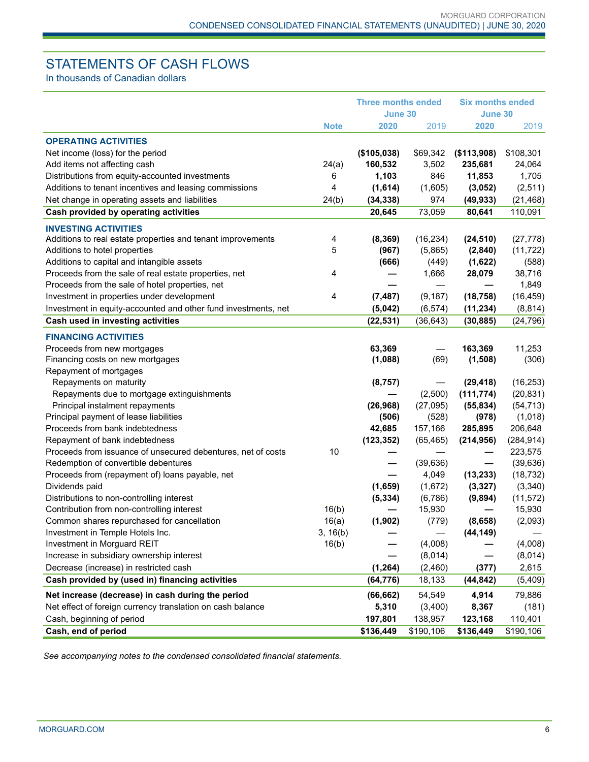# STATEMENTS OF CASH FLOWS

In thousands of Canadian dollars

|                                                                                                      |             | <b>Three months ended</b> |           | <b>Six months ended</b>  |                 |
|------------------------------------------------------------------------------------------------------|-------------|---------------------------|-----------|--------------------------|-----------------|
|                                                                                                      |             | June 30                   |           | June 30                  |                 |
|                                                                                                      | <b>Note</b> | 2020                      | 2019      | 2020                     | 2019            |
| <b>OPERATING ACTIVITIES</b>                                                                          |             |                           |           |                          |                 |
| Net income (loss) for the period                                                                     |             | (\$105,038)               | \$69,342  | (\$113,908)              | \$108,301       |
| Add items not affecting cash                                                                         | 24(a)       | 160,532                   | 3,502     | 235,681                  | 24,064          |
| Distributions from equity-accounted investments                                                      | 6           | 1,103                     | 846       | 11,853                   | 1,705           |
| Additions to tenant incentives and leasing commissions                                               | 4           | (1,614)                   | (1,605)   | (3,052)                  | (2,511)         |
| Net change in operating assets and liabilities                                                       | 24(b)       | (34, 338)                 | 974       | (49, 933)                | (21, 468)       |
| Cash provided by operating activities                                                                |             | 20,645                    | 73,059    | 80,641                   | 110,091         |
| <b>INVESTING ACTIVITIES</b>                                                                          |             |                           |           |                          |                 |
| Additions to real estate properties and tenant improvements                                          | 4           | (8, 369)                  | (16, 234) | (24, 510)                | (27, 778)       |
| Additions to hotel properties                                                                        | 5           | (967)                     | (5,865)   | (2,840)                  | (11, 722)       |
| Additions to capital and intangible assets                                                           |             | (666)                     | (449)     | (1,622)                  | (588)           |
| Proceeds from the sale of real estate properties, net                                                | 4           |                           | 1,666     | 28,079                   | 38,716          |
| Proceeds from the sale of hotel properties, net                                                      |             |                           | —         |                          | 1,849           |
| Investment in properties under development                                                           | 4           | (7, 487)                  | (9, 187)  | (18, 758)                | (16, 459)       |
| Investment in equity-accounted and other fund investments, net                                       |             | (5,042)                   | (6, 574)  | (11, 234)                | (8, 814)        |
| Cash used in investing activities                                                                    |             | (22, 531)                 | (36, 643) | (30, 885)                | (24, 796)       |
| <b>FINANCING ACTIVITIES</b>                                                                          |             |                           |           |                          |                 |
|                                                                                                      |             |                           |           |                          |                 |
| Proceeds from new mortgages<br>Financing costs on new mortgages                                      |             | 63,369<br>(1,088)         | (69)      | 163,369<br>(1,508)       | 11,253<br>(306) |
| Repayment of mortgages                                                                               |             |                           |           |                          |                 |
| Repayments on maturity                                                                               |             | (8, 757)                  |           | (29, 418)                | (16, 253)       |
| Repayments due to mortgage extinguishments                                                           |             |                           | (2,500)   | (111, 774)               | (20, 831)       |
| Principal instalment repayments                                                                      |             | (26, 968)                 | (27,095)  | (55, 834)                | (54, 713)       |
| Principal payment of lease liabilities                                                               |             | (506)                     | (528)     | (978)                    | (1,018)         |
| Proceeds from bank indebtedness                                                                      |             | 42,685                    | 157,166   | 285,895                  | 206,648         |
| Repayment of bank indebtedness                                                                       |             |                           |           |                          | (284, 914)      |
|                                                                                                      | 10          | (123, 352)                | (65, 465) | (214, 956)               | 223,575         |
| Proceeds from issuance of unsecured debentures, net of costs<br>Redemption of convertible debentures |             |                           |           |                          | (39, 636)       |
|                                                                                                      |             |                           | (39, 636) | $\overline{\phantom{0}}$ |                 |
| Proceeds from (repayment of) loans payable, net                                                      |             |                           | 4,049     | (13, 233)                | (18, 732)       |
| Dividends paid                                                                                       |             | (1,659)                   | (1,672)   | (3, 327)                 | (3,340)         |
| Distributions to non-controlling interest                                                            |             | (5, 334)                  | (6,786)   | (9,894)                  | (11, 572)       |
| Contribution from non-controlling interest                                                           | 16(b)       |                           | 15,930    |                          | 15,930          |
| Common shares repurchased for cancellation                                                           | 16(a)       | (1, 902)                  | (779)     | (8,658)                  | (2,093)         |
| Investment in Temple Hotels Inc.                                                                     | 3, 16(b)    |                           |           | (44, 149)                |                 |
| Investment in Morguard REIT                                                                          | 16(b)       |                           | (4,008)   |                          | (4,008)         |
| Increase in subsidiary ownership interest                                                            |             |                           | (8,014)   |                          | (8,014)         |
| Decrease (increase) in restricted cash                                                               |             | (1, 264)                  | (2,460)   | (377)                    | 2,615           |
| Cash provided by (used in) financing activities                                                      |             | (64, 776)                 | 18,133    | (44, 842)                | (5, 409)        |
| Net increase (decrease) in cash during the period                                                    |             | (66, 662)                 | 54,549    | 4,914                    | 79,886          |
| Net effect of foreign currency translation on cash balance                                           |             | 5,310                     | (3,400)   | 8,367                    | (181)           |
| Cash, beginning of period                                                                            |             | 197,801                   | 138,957   | 123,168                  | 110,401         |
| Cash, end of period                                                                                  |             | \$136,449                 | \$190,106 | \$136,449                | \$190,106       |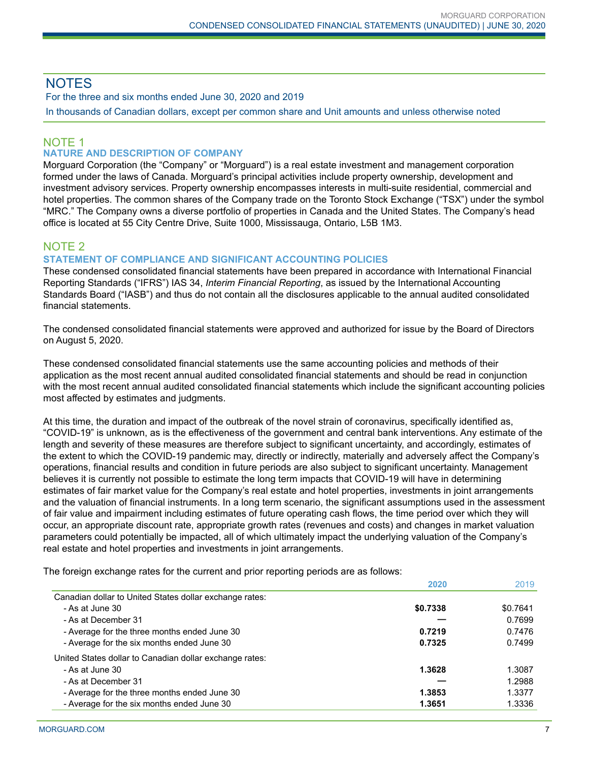# **NOTES**

For the three and six months ended June 30, 2020 and 2019 In thousands of Canadian dollars, except per common share and Unit amounts and unless otherwise noted

# NOTE 1

## **NATURE AND DESCRIPTION OF COMPANY**

Morguard Corporation (the "Company" or "Morguard") is a real estate investment and management corporation formed under the laws of Canada. Morguard's principal activities include property ownership, development and investment advisory services. Property ownership encompasses interests in multi-suite residential, commercial and hotel properties. The common shares of the Company trade on the Toronto Stock Exchange ("TSX") under the symbol "MRC." The Company owns a diverse portfolio of properties in Canada and the United States. The Company's head office is located at 55 City Centre Drive, Suite 1000, Mississauga, Ontario, L5B 1M3.

## NOTE 2

## **STATEMENT OF COMPLIANCE AND SIGNIFICANT ACCOUNTING POLICIES**

These condensed consolidated financial statements have been prepared in accordance with International Financial Reporting Standards ("IFRS") IAS 34, *Interim Financial Reporting*, as issued by the International Accounting Standards Board ("IASB") and thus do not contain all the disclosures applicable to the annual audited consolidated financial statements.

The condensed consolidated financial statements were approved and authorized for issue by the Board of Directors on August 5, 2020.

These condensed consolidated financial statements use the same accounting policies and methods of their application as the most recent annual audited consolidated financial statements and should be read in conjunction with the most recent annual audited consolidated financial statements which include the significant accounting policies most affected by estimates and judgments.

At this time, the duration and impact of the outbreak of the novel strain of coronavirus, specifically identified as, "COVID-19" is unknown, as is the effectiveness of the government and central bank interventions. Any estimate of the length and severity of these measures are therefore subject to significant uncertainty, and accordingly, estimates of the extent to which the COVID-19 pandemic may, directly or indirectly, materially and adversely affect the Company's operations, financial results and condition in future periods are also subject to significant uncertainty. Management believes it is currently not possible to estimate the long term impacts that COVID-19 will have in determining estimates of fair market value for the Company's real estate and hotel properties, investments in joint arrangements and the valuation of financial instruments. In a long term scenario, the significant assumptions used in the assessment of fair value and impairment including estimates of future operating cash flows, the time period over which they will occur, an appropriate discount rate, appropriate growth rates (revenues and costs) and changes in market valuation parameters could potentially be impacted, all of which ultimately impact the underlying valuation of the Company's real estate and hotel properties and investments in joint arrangements.

The foreign exchange rates for the current and prior reporting periods are as follows:

|                                                         | 2020     | 2019     |
|---------------------------------------------------------|----------|----------|
| Canadian dollar to United States dollar exchange rates: |          |          |
| - As at June 30                                         | \$0.7338 | \$0.7641 |
| - As at December 31                                     |          | 0.7699   |
| - Average for the three months ended June 30            | 0.7219   | 0.7476   |
| - Average for the six months ended June 30              | 0.7325   | 0.7499   |
| United States dollar to Canadian dollar exchange rates: |          |          |
| - As at June 30                                         | 1.3628   | 1.3087   |
| - As at December 31                                     |          | 1.2988   |
| - Average for the three months ended June 30            | 1.3853   | 1.3377   |
| - Average for the six months ended June 30              | 1.3651   | 1.3336   |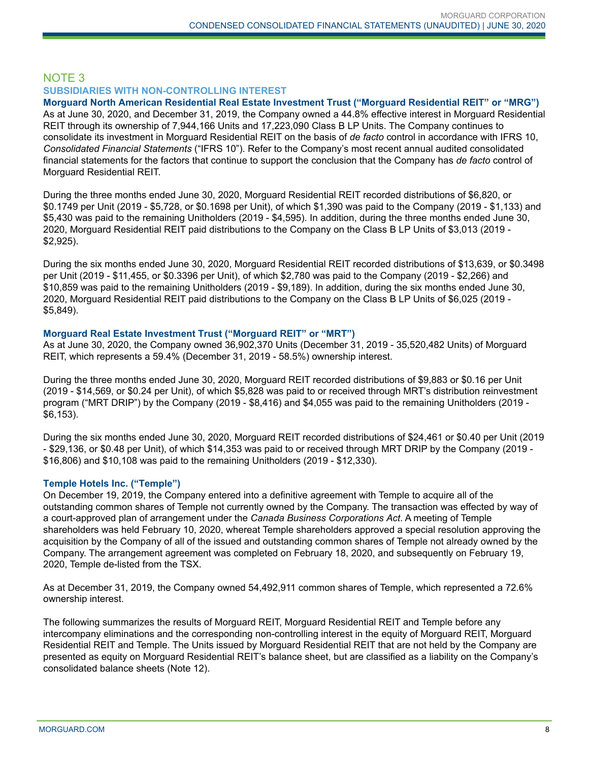## NOTE 3 **SUBSIDIARIES WITH NON-CONTROLLING INTEREST**

**Morguard North American Residential Real Estate Investment Trust ("Morguard Residential REIT" or "MRG")** As at June 30, 2020, and December 31, 2019, the Company owned a 44.8% effective interest in Morguard Residential REIT through its ownership of 7,944,166 Units and 17,223,090 Class B LP Units. The Company continues to consolidate its investment in Morguard Residential REIT on the basis of *de facto* control in accordance with IFRS 10, *Consolidated Financial Statements* ("IFRS 10"). Refer to the Company's most recent annual audited consolidated financial statements for the factors that continue to support the conclusion that the Company has *de facto* control of Morguard Residential REIT.

During the three months ended June 30, 2020, Morguard Residential REIT recorded distributions of \$6,820, or \$0.1749 per Unit (2019 - \$5,728, or \$0.1698 per Unit), of which \$1,390 was paid to the Company (2019 - \$1,133) and \$5,430 was paid to the remaining Unitholders (2019 - \$4,595). In addition, during the three months ended June 30, 2020, Morguard Residential REIT paid distributions to the Company on the Class B LP Units of \$3,013 (2019 - \$2,925).

During the six months ended June 30, 2020, Morguard Residential REIT recorded distributions of \$13,639, or \$0.3498 per Unit (2019 - \$11,455, or \$0.3396 per Unit), of which \$2,780 was paid to the Company (2019 - \$2,266) and \$10,859 was paid to the remaining Unitholders (2019 - \$9,189). In addition, during the six months ended June 30, 2020, Morguard Residential REIT paid distributions to the Company on the Class B LP Units of \$6,025 (2019 - \$5,849).

## **Morguard Real Estate Investment Trust ("Morguard REIT" or "MRT")**

As at June 30, 2020, the Company owned 36,902,370 Units (December 31, 2019 - 35,520,482 Units) of Morguard REIT, which represents a 59.4% (December 31, 2019 - 58.5%) ownership interest.

During the three months ended June 30, 2020, Morguard REIT recorded distributions of \$9,883 or \$0.16 per Unit (2019 - \$14,569, or \$0.24 per Unit), of which \$5,828 was paid to or received through MRT's distribution reinvestment program ("MRT DRIP") by the Company (2019 - \$8,416) and \$4,055 was paid to the remaining Unitholders (2019 - \$6,153).

During the six months ended June 30, 2020, Morguard REIT recorded distributions of \$24,461 or \$0.40 per Unit (2019 - \$29,136, or \$0.48 per Unit), of which \$14,353 was paid to or received through MRT DRIP by the Company (2019 - \$16,806) and \$10,108 was paid to the remaining Unitholders (2019 - \$12,330).

## **Temple Hotels Inc. ("Temple")**

On December 19, 2019, the Company entered into a definitive agreement with Temple to acquire all of the outstanding common shares of Temple not currently owned by the Company. The transaction was effected by way of a court-approved plan of arrangement under the *Canada Business Corporations Act*. A meeting of Temple shareholders was held February 10, 2020, whereat Temple shareholders approved a special resolution approving the acquisition by the Company of all of the issued and outstanding common shares of Temple not already owned by the Company. The arrangement agreement was completed on February 18, 2020, and subsequently on February 19, 2020, Temple de-listed from the TSX.

As at December 31, 2019, the Company owned 54,492,911 common shares of Temple, which represented a 72.6% ownership interest.

The following summarizes the results of Morguard REIT, Morguard Residential REIT and Temple before any intercompany eliminations and the corresponding non-controlling interest in the equity of Morguard REIT, Morguard Residential REIT and Temple. The Units issued by Morguard Residential REIT that are not held by the Company are presented as equity on Morguard Residential REIT's balance sheet, but are classified as a liability on the Company's consolidated balance sheets (Note 12).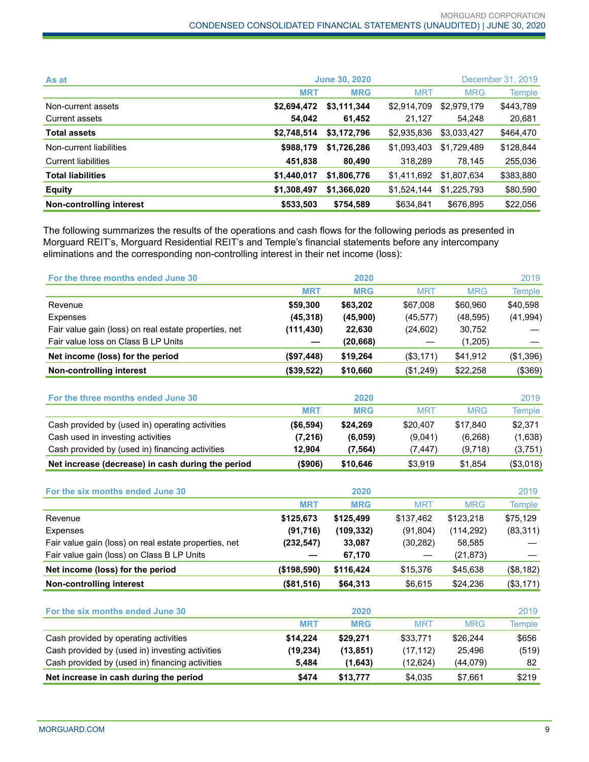| As at                      | <b>June 30, 2020</b> |             |             |             | December 31, 2019 |
|----------------------------|----------------------|-------------|-------------|-------------|-------------------|
|                            | <b>MRT</b>           | <b>MRG</b>  | <b>MRT</b>  | <b>MRG</b>  | Temple            |
| Non-current assets         | \$2,694,472          | \$3,111,344 | \$2,914,709 | \$2,979,179 | \$443,789         |
| Current assets             | 54.042               | 61,452      | 21,127      | 54,248      | 20,681            |
| <b>Total assets</b>        | \$2,748,514          | \$3,172,796 | \$2,935,836 | \$3,033,427 | \$464,470         |
| Non-current liabilities    | \$988,179            | \$1,726,286 | \$1,093,403 | \$1,729,489 | \$128,844         |
| <b>Current liabilities</b> | 451,838              | 80,490      | 318.289     | 78,145      | 255,036           |
| <b>Total liabilities</b>   | \$1,440,017          | \$1,806,776 | \$1,411,692 | \$1,807,634 | \$383,880         |
| <b>Equity</b>              | \$1,308,497          | \$1,366,020 | \$1,524,144 | \$1.225.793 | \$80,590          |
| Non-controlling interest   | \$533,503            | \$754,589   | \$634,841   | \$676,895   | \$22,056          |

The following summarizes the results of the operations and cash flows for the following periods as presented in Morguard REIT's, Morguard Residential REIT's and Temple's financial statements before any intercompany eliminations and the corresponding non-controlling interest in their net income (loss):

| For the three months ended June 30                    |             | 2020       |            |            | 2019          |
|-------------------------------------------------------|-------------|------------|------------|------------|---------------|
|                                                       | <b>MRT</b>  | <b>MRG</b> | <b>MRT</b> | <b>MRG</b> | <b>Temple</b> |
| Revenue                                               | \$59,300    | \$63,202   | \$67,008   | \$60,960   | \$40,598      |
| Expenses                                              | (45, 318)   | (45,900)   | (45, 577)  | (48, 595)  | (41, 994)     |
| Fair value gain (loss) on real estate properties, net | (111, 430)  | 22,630     | (24, 602)  | 30,752     |               |
| Fair value loss on Class B LP Units                   |             | (20, 668)  |            | (1,205)    |               |
| Net income (loss) for the period                      | (\$97,448)  | \$19,264   | (\$3,171)  | \$41,912   | (\$1,396)     |
| <b>Non-controlling interest</b>                       | (\$39,522)  | \$10,660   | (\$1,249)  | \$22,258   | (\$369)       |
| For the three months ended June 30                    |             | 2020       |            |            | 2019          |
|                                                       | <b>MRT</b>  | <b>MRG</b> | <b>MRT</b> | <b>MRG</b> | <b>Temple</b> |
| Cash provided by (used in) operating activities       | (\$6,594)   | \$24,269   | \$20,407   | \$17,840   | \$2,371       |
| Cash used in investing activities                     | (7, 216)    | (6,059)    | (9,041)    | (6, 268)   | (1,638)       |
| Cash provided by (used in) financing activities       | 12,904      | (7, 564)   | (7, 447)   | (9,718)    | (3,751)       |
| Net increase (decrease) in cash during the period     | ( \$906)    | \$10,646   | \$3,919    | \$1,854    | (\$3,018)     |
| For the six months ended June 30                      |             | 2020       |            |            | 2019          |
|                                                       | <b>MRT</b>  | <b>MRG</b> | <b>MRT</b> | <b>MRG</b> | <b>Temple</b> |
| Revenue                                               | \$125,673   | \$125,499  | \$137,462  | \$123,218  | \$75,129      |
| Expenses                                              | (91, 716)   | (109, 332) | (91, 804)  | (114, 292) | (83, 311)     |
| Fair value gain (loss) on real estate properties, net | (232, 547)  | 33,087     | (30, 282)  | 58,585     |               |
| Fair value gain (loss) on Class B LP Units            |             | 67,170     |            | (21, 873)  |               |
| Net income (loss) for the period                      | (\$198,590) | \$116,424  | \$15,376   | \$45,638   | (\$8,182)     |
| <b>Non-controlling interest</b>                       | (\$81,516)  | \$64,313   | \$6,615    | \$24,236   | (\$3,171)     |
|                                                       |             |            |            |            |               |
| For the six months ended June 30                      |             | 2020       |            |            | 2019          |
|                                                       | <b>MRT</b>  | <b>MRG</b> | <b>MRT</b> | <b>MRG</b> | <b>Temple</b> |
| Cash provided by operating activities                 | \$14,224    | \$29,271   | \$33,771   | \$26,244   | \$656         |
| Cash provided by (used in) investing activities       | (19, 234)   | (13, 851)  | (17, 112)  | 25,496     | (519)         |
| Cash provided by (used in) financing activities       | 5,484       | (1,643)    | (12, 624)  | (44, 079)  | 82            |
| Net increase in cash during the period                | \$474       | \$13,777   | \$4,035    | \$7,661    | \$219         |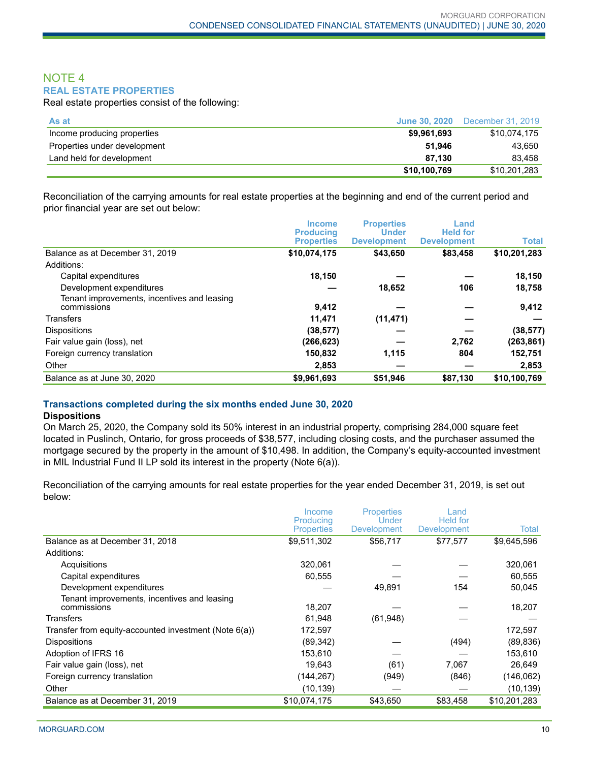## NOTE 4 **REAL ESTATE PROPERTIES**

Real estate properties consist of the following:

| As at                        | June 30, 2020 | December 31, 2019 |
|------------------------------|---------------|-------------------|
| Income producing properties  | \$9,961,693   | \$10.074.175      |
| Properties under development | 51.946        | 43.650            |
| Land held for development    | 87.130        | 83.458            |
|                              | \$10.100.769  | \$10,201,283      |

Reconciliation of the carrying amounts for real estate properties at the beginning and end of the current period and prior financial year are set out below:

|                                                            | <b>Income</b><br><b>Producing</b> | <b>Properties</b><br><b>Under</b> | Land<br><b>Held for</b> |              |
|------------------------------------------------------------|-----------------------------------|-----------------------------------|-------------------------|--------------|
|                                                            | <b>Properties</b>                 | <b>Development</b>                | <b>Development</b>      | <b>Total</b> |
| Balance as at December 31, 2019                            | \$10,074,175                      | \$43,650                          | \$83,458                | \$10,201,283 |
| Additions:                                                 |                                   |                                   |                         |              |
| Capital expenditures                                       | 18,150                            |                                   |                         | 18,150       |
| Development expenditures                                   |                                   | 18,652                            | 106                     | 18,758       |
| Tenant improvements, incentives and leasing<br>commissions | 9.412                             |                                   |                         | 9,412        |
| Transfers                                                  | 11.471                            | (11, 471)                         |                         |              |
| <b>Dispositions</b>                                        | (38, 577)                         |                                   |                         | (38, 577)    |
| Fair value gain (loss), net                                | (266,623)                         |                                   | 2,762                   | (263, 861)   |
| Foreign currency translation                               | 150,832                           | 1,115                             | 804                     | 152,751      |
| Other                                                      | 2,853                             |                                   |                         | 2,853        |
| Balance as at June 30, 2020                                | \$9,961,693                       | \$51,946                          | \$87,130                | \$10,100,769 |

## **Transactions completed during the six months ended June 30, 2020**

#### **Dispositions**

On March 25, 2020, the Company sold its 50% interest in an industrial property, comprising 284,000 square feet located in Puslinch, Ontario, for gross proceeds of \$38,577, including closing costs, and the purchaser assumed the mortgage secured by the property in the amount of \$10,498. In addition, the Company's equity-accounted investment in MIL Industrial Fund II LP sold its interest in the property (Note 6(a)).

Reconciliation of the carrying amounts for real estate properties for the year ended December 31, 2019, is set out below:

|                                                            | Income<br>Producing<br><b>Properties</b> | <b>Properties</b><br>Under<br>Development | Land<br>Held for<br>Development | Total        |
|------------------------------------------------------------|------------------------------------------|-------------------------------------------|---------------------------------|--------------|
| Balance as at December 31, 2018                            | \$9,511,302                              | \$56,717                                  | \$77,577                        | \$9,645,596  |
| Additions:                                                 |                                          |                                           |                                 |              |
| Acquisitions                                               | 320,061                                  |                                           |                                 | 320,061      |
| Capital expenditures                                       | 60,555                                   |                                           |                                 | 60,555       |
| Development expenditures                                   |                                          | 49,891                                    | 154                             | 50,045       |
| Tenant improvements, incentives and leasing<br>commissions | 18,207                                   |                                           |                                 | 18,207       |
| Transfers                                                  | 61,948                                   | (61,948)                                  |                                 |              |
| Transfer from equity-accounted investment (Note 6(a))      | 172,597                                  |                                           |                                 | 172,597      |
| <b>Dispositions</b>                                        | (89, 342)                                |                                           | (494)                           | (89, 836)    |
| Adoption of IFRS 16                                        | 153,610                                  |                                           |                                 | 153,610      |
| Fair value gain (loss), net                                | 19,643                                   | (61)                                      | 7,067                           | 26,649       |
| Foreign currency translation                               | (144,267)                                | (949)                                     | (846)                           | (146,062)    |
| Other                                                      | (10, 139)                                |                                           |                                 | (10, 139)    |
| Balance as at December 31, 2019                            | \$10,074,175                             | \$43,650                                  | \$83,458                        | \$10,201,283 |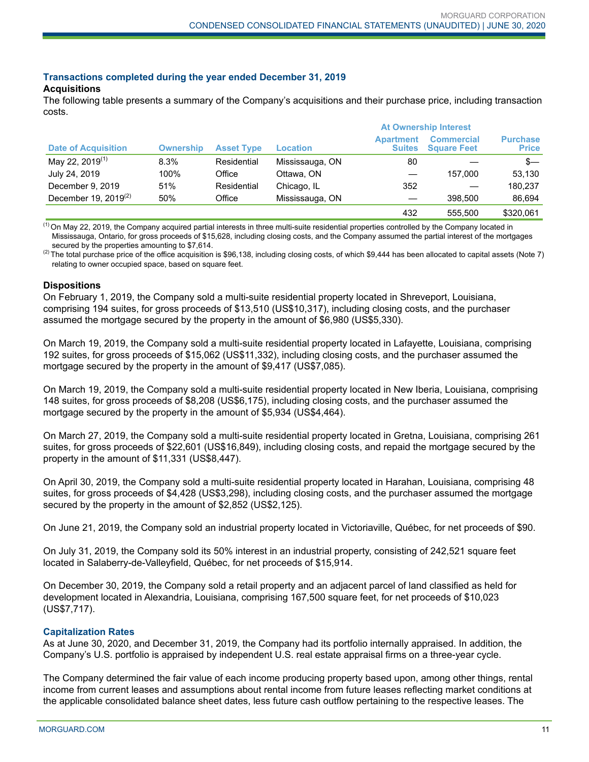## **Transactions completed during the year ended December 31, 2019**

## **Acquisitions**

The following table presents a summary of the Company's acquisitions and their purchase price, including transaction costs.

|                             |                  |                   |                 | <b>At Ownership Interest</b>      |                                         |                                 |  |  |
|-----------------------------|------------------|-------------------|-----------------|-----------------------------------|-----------------------------------------|---------------------------------|--|--|
| <b>Date of Acquisition</b>  | <b>Ownership</b> | <b>Asset Type</b> | Location        | <b>Apartment</b><br><b>Suites</b> | <b>Commercial</b><br><b>Square Feet</b> | <b>Purchase</b><br><b>Price</b> |  |  |
| May 22, 2019 <sup>(1)</sup> | 8.3%             | Residential       | Mississauga, ON | 80                                |                                         | $s-$                            |  |  |
| July 24, 2019               | 100%             | Office            | Ottawa, ON      |                                   | 157.000                                 | 53,130                          |  |  |
| December 9, 2019            | 51%              | Residential       | Chicago, IL     | 352                               |                                         | 180.237                         |  |  |
| December 19, 2019 $(2)$     | 50%              | Office            | Mississauga, ON |                                   | 398,500                                 | 86,694                          |  |  |
|                             |                  |                   |                 | 432                               | 555.500                                 | \$320,061                       |  |  |

 $<sup>(1)</sup>$  On May 22, 2019, the Company acquired partial interests in three multi-suite residential properties controlled by the Company located in</sup> Mississauga, Ontario, for gross proceeds of \$15,628, including closing costs, and the Company assumed the partial interest of the mortgages secured by the properties amounting to \$7,614.

 $^{(2)}$  The total purchase price of the office acquisition is \$96,138, including closing costs, of which \$9,444 has been allocated to capital assets (Note 7) relating to owner occupied space, based on square feet.

#### **Dispositions**

On February 1, 2019, the Company sold a multi-suite residential property located in Shreveport, Louisiana, comprising 194 suites, for gross proceeds of \$13,510 (US\$10,317), including closing costs, and the purchaser assumed the mortgage secured by the property in the amount of \$6,980 (US\$5,330).

On March 19, 2019, the Company sold a multi-suite residential property located in Lafayette, Louisiana, comprising 192 suites, for gross proceeds of \$15,062 (US\$11,332), including closing costs, and the purchaser assumed the mortgage secured by the property in the amount of \$9,417 (US\$7,085).

On March 19, 2019, the Company sold a multi-suite residential property located in New Iberia, Louisiana, comprising 148 suites, for gross proceeds of \$8,208 (US\$6,175), including closing costs, and the purchaser assumed the mortgage secured by the property in the amount of \$5,934 (US\$4,464).

On March 27, 2019, the Company sold a multi-suite residential property located in Gretna, Louisiana, comprising 261 suites, for gross proceeds of \$22,601 (US\$16,849), including closing costs, and repaid the mortgage secured by the property in the amount of \$11,331 (US\$8,447).

On April 30, 2019, the Company sold a multi-suite residential property located in Harahan, Louisiana, comprising 48 suites, for gross proceeds of \$4,428 (US\$3,298), including closing costs, and the purchaser assumed the mortgage secured by the property in the amount of \$2,852 (US\$2,125).

On June 21, 2019, the Company sold an industrial property located in Victoriaville, Québec, for net proceeds of \$90.

On July 31, 2019, the Company sold its 50% interest in an industrial property, consisting of 242,521 square feet located in Salaberry-de-Valleyfield, Québec, for net proceeds of \$15,914.

On December 30, 2019, the Company sold a retail property and an adjacent parcel of land classified as held for development located in Alexandria, Louisiana, comprising 167,500 square feet, for net proceeds of \$10,023 (US\$7,717).

#### **Capitalization Rates**

As at June 30, 2020, and December 31, 2019, the Company had its portfolio internally appraised. In addition, the Company's U.S. portfolio is appraised by independent U.S. real estate appraisal firms on a three-year cycle.

The Company determined the fair value of each income producing property based upon, among other things, rental income from current leases and assumptions about rental income from future leases reflecting market conditions at the applicable consolidated balance sheet dates, less future cash outflow pertaining to the respective leases. The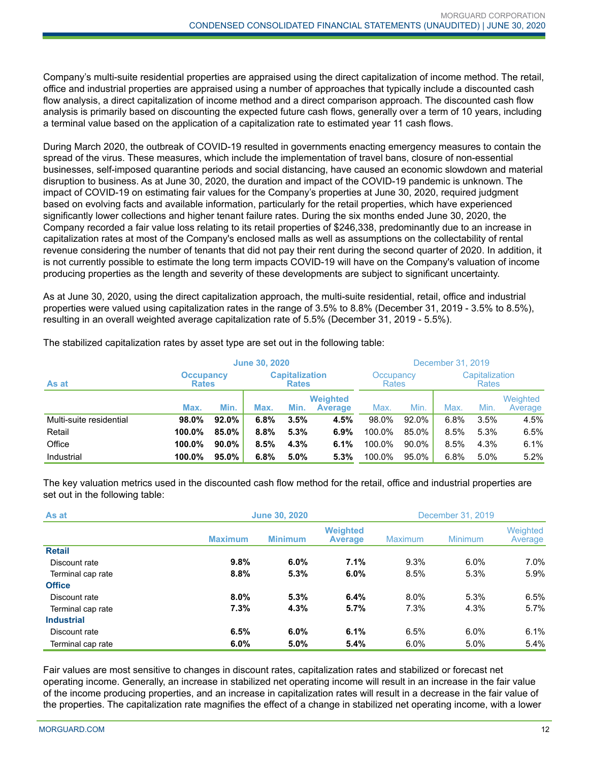Company's multi-suite residential properties are appraised using the direct capitalization of income method. The retail, office and industrial properties are appraised using a number of approaches that typically include a discounted cash flow analysis, a direct capitalization of income method and a direct comparison approach. The discounted cash flow analysis is primarily based on discounting the expected future cash flows, generally over a term of 10 years, including a terminal value based on the application of a capitalization rate to estimated year 11 cash flows.

During March 2020, the outbreak of COVID-19 resulted in governments enacting emergency measures to contain the spread of the virus. These measures, which include the implementation of travel bans, closure of non-essential businesses, self-imposed quarantine periods and social distancing, have caused an economic slowdown and material disruption to business. As at June 30, 2020, the duration and impact of the COVID-19 pandemic is unknown. The impact of COVID-19 on estimating fair values for the Company's properties at June 30, 2020, required judgment based on evolving facts and available information, particularly for the retail properties, which have experienced significantly lower collections and higher tenant failure rates. During the six months ended June 30, 2020, the Company recorded a fair value loss relating to its retail properties of \$246,338, predominantly due to an increase in capitalization rates at most of the Company's enclosed malls as well as assumptions on the collectability of rental revenue considering the number of tenants that did not pay their rent during the second quarter of 2020. In addition, it is not currently possible to estimate the long term impacts COVID-19 will have on the Company's valuation of income producing properties as the length and severity of these developments are subject to significant uncertainty.

As at June 30, 2020, using the direct capitalization approach, the multi-suite residential, retail, office and industrial properties were valued using capitalization rates in the range of 3.5% to 8.8% (December 31, 2019 - 3.5% to 8.5%), resulting in an overall weighted average capitalization rate of 5.5% (December 31, 2019 - 5.5%).

|                         | <b>June 30, 2020</b>             |          |      |                                       |                                   | December 31, 2019         |       |                                |      |                     |
|-------------------------|----------------------------------|----------|------|---------------------------------------|-----------------------------------|---------------------------|-------|--------------------------------|------|---------------------|
| As at                   | <b>Occupancy</b><br><b>Rates</b> |          |      | <b>Capitalization</b><br><b>Rates</b> |                                   | Occupancy<br><b>Rates</b> |       | Capitalization<br><b>Rates</b> |      |                     |
|                         | Max.                             | Min.     | Max. | Min.                                  | <b>Weighted</b><br><b>Average</b> | Max.                      | Min.  | Max.                           | Min. | Weighted<br>Average |
| Multi-suite residential | 98.0%                            | 92.0%    | 6.8% | 3.5%                                  | 4.5%                              | 98.0%                     | 92.0% | 6.8%                           | 3.5% | 4.5%                |
| Retail                  | 100.0%                           | 85.0%    | 8.8% | 5.3%                                  | 6.9%                              | 100.0%                    | 85.0% | 8.5%                           | 5.3% | 6.5%                |
| Office                  | 100.0%                           | $90.0\%$ | 8.5% | 4.3%                                  | 6.1%                              | 100.0%                    | 90.0% | 8.5%                           | 4.3% | 6.1%                |
| Industrial              | 100.0%                           | 95.0%    | 6.8% | 5.0%                                  | 5.3%                              | 100.0%                    | 95.0% | 6.8%                           | 5.0% | 5.2%                |

The stabilized capitalization rates by asset type are set out in the following table:

The key valuation metrics used in the discounted cash flow method for the retail, office and industrial properties are set out in the following table:

| As at             | <b>June 30, 2020</b> | December 31, 2019 |                                   |                |                |                     |
|-------------------|----------------------|-------------------|-----------------------------------|----------------|----------------|---------------------|
|                   | <b>Maximum</b>       | <b>Minimum</b>    | <b>Weighted</b><br><b>Average</b> | <b>Maximum</b> | <b>Minimum</b> | Weighted<br>Average |
| <b>Retail</b>     |                      |                   |                                   |                |                |                     |
| Discount rate     | 9.8%                 | 6.0%              | 7.1%                              | 9.3%           | 6.0%           | $7.0\%$             |
| Terminal cap rate | 8.8%                 | 5.3%              | 6.0%                              | 8.5%           | 5.3%           | 5.9%                |
| <b>Office</b>     |                      |                   |                                   |                |                |                     |
| Discount rate     | 8.0%                 | 5.3%              | 6.4%                              | 8.0%           | 5.3%           | 6.5%                |
| Terminal cap rate | 7.3%                 | 4.3%              | 5.7%                              | 7.3%           | 4.3%           | 5.7%                |
| <b>Industrial</b> |                      |                   |                                   |                |                |                     |
| Discount rate     | 6.5%                 | $6.0\%$           | 6.1%                              | 6.5%           | 6.0%           | 6.1%                |
| Terminal cap rate | 6.0%                 | $5.0\%$           | 5.4%                              | 6.0%           | 5.0%           | 5.4%                |

Fair values are most sensitive to changes in discount rates, capitalization rates and stabilized or forecast net operating income. Generally, an increase in stabilized net operating income will result in an increase in the fair value of the income producing properties, and an increase in capitalization rates will result in a decrease in the fair value of the properties. The capitalization rate magnifies the effect of a change in stabilized net operating income, with a lower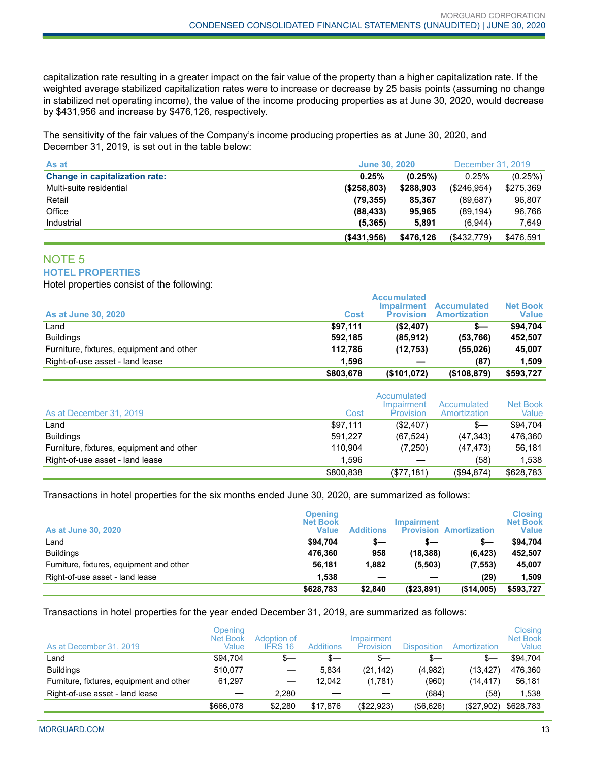capitalization rate resulting in a greater impact on the fair value of the property than a higher capitalization rate. If the weighted average stabilized capitalization rates were to increase or decrease by 25 basis points (assuming no change in stabilized net operating income), the value of the income producing properties as at June 30, 2020, would decrease by \$431,956 and increase by \$476,126, respectively.

The sensitivity of the fair values of the Company's income producing properties as at June 30, 2020, and December 31, 2019, is set out in the table below:

| As at                                 | <b>June 30, 2020</b> |           |             | December 31, 2019 |
|---------------------------------------|----------------------|-----------|-------------|-------------------|
| <b>Change in capitalization rate:</b> | 0.25%                | (0.25%)   | 0.25%       | (0.25%)           |
| Multi-suite residential               | (\$258,803)          | \$288,903 | (\$246,954) | \$275,369         |
| Retail                                | (79, 355)            | 85.367    | (89, 687)   | 96.807            |
| Office                                | (88, 433)            | 95.965    | (89, 194)   | 96.766            |
| Industrial                            | (5, 365)             | 5,891     | (6.944)     | 7.649             |
|                                       | ( \$431.956)         | \$476,126 | (\$432,779) | \$476,591         |

# NOTE 5

**HOTEL PROPERTIES**

Hotel properties consist of the following:

| <b>As at June 30, 2020</b>               | Cost      | <b>Accumulated</b><br>Impairment<br><b>Provision</b> | <b>Accumulated</b><br><b>Amortization</b> | <b>Net Book</b><br><b>Value</b> |
|------------------------------------------|-----------|------------------------------------------------------|-------------------------------------------|---------------------------------|
| Land                                     | \$97.111  | (\$2,407)                                            | s—                                        | \$94.704                        |
| <b>Buildings</b>                         | 592.185   | (85.912)                                             | (53,766)                                  | 452.507                         |
| Furniture, fixtures, equipment and other | 112.786   | (12.753)                                             | (55,026)                                  | 45.007                          |
| Right-of-use asset - land lease          | 1.596     |                                                      | (87)                                      | 1.509                           |
|                                          | \$803,678 | (\$101,072)                                          | (\$108,879)                               | \$593,727                       |

| As at December 31, 2019                  | Cost      | Accumulated<br>Impairment<br>Provision | Accumulated<br>Amortization | Net Book<br>Value |
|------------------------------------------|-----------|----------------------------------------|-----------------------------|-------------------|
| Land                                     | \$97,111  | (\$2,407)                              | $s-$                        | \$94.704          |
| <b>Buildings</b>                         | 591.227   | (67.524)                               | (47, 343)                   | 476.360           |
| Furniture, fixtures, equipment and other | 110.904   | (7,250)                                | (47, 473)                   | 56.181            |
| Right-of-use asset - land lease          | 1.596     |                                        | (58)                        | 1.538             |
|                                          | \$800,838 | (\$77,181)                             | (\$94,874)                  | \$628,783         |

Transactions in hotel properties for the six months ended June 30, 2020, are summarized as follows:

| <b>As at June 30, 2020</b>               | <b>Opening</b><br><b>Net Book</b><br>Value | <b>Additions</b> | <b>Impairment</b> | <b>Provision Amortization</b> | <b>Closing</b><br><b>Net Book</b><br><b>Value</b> |
|------------------------------------------|--------------------------------------------|------------------|-------------------|-------------------------------|---------------------------------------------------|
| Land                                     | \$94,704                                   | s—               | s—                | \$—                           | \$94.704                                          |
| <b>Buildings</b>                         | 476.360                                    | 958              | (18, 388)         | (6, 423)                      | 452,507                                           |
| Furniture, fixtures, equipment and other | 56,181                                     | 1,882            | (5,503)           | (7, 553)                      | 45,007                                            |
| Right-of-use asset - land lease          | 1.538                                      |                  |                   | (29)                          | 1.509                                             |
|                                          | \$628,783                                  | \$2,840          | ( \$23, 891)      | (\$14,005)                    | \$593,727                                         |

Transactions in hotel properties for the year ended December 31, 2019, are summarized as follows:

| As at December 31, 2019                  | Openina<br><b>Net Book</b><br>Value | Adoption of<br><b>IFRS 16</b> | <b>Additions</b> | Impairment<br>Provision | Disposition  | Amortization | Closing<br><b>Net Book</b><br>Value |
|------------------------------------------|-------------------------------------|-------------------------------|------------------|-------------------------|--------------|--------------|-------------------------------------|
| Land                                     | \$94.704                            | \$—                           | $s-$             | \$—                     | $s-$         | S—           | \$94.704                            |
| <b>Buildings</b>                         | 510.077                             |                               | 5.834            | (21, 142)               | (4,982)      | (13, 427)    | 476,360                             |
| Furniture, fixtures, equipment and other | 61,297                              |                               | 12.042           | (1,781)                 | (960)        | (14,417)     | 56,181                              |
| Right-of-use asset - land lease          |                                     | 2.280                         |                  |                         | (684)        | (58)         | 1,538                               |
|                                          | \$666,078                           | \$2,280                       | \$17.876         | (\$22,923)              | $($ \$6,626) | (\$27,902)   | \$628,783                           |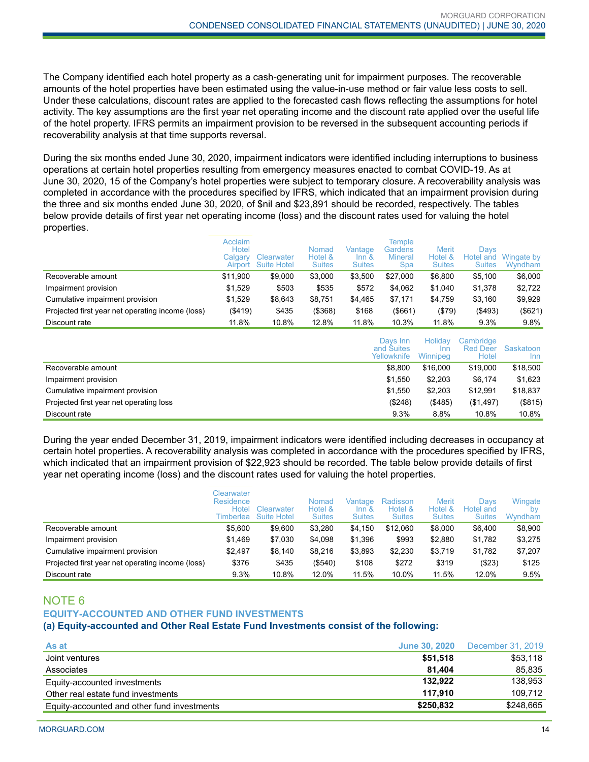The Company identified each hotel property as a cash-generating unit for impairment purposes. The recoverable amounts of the hotel properties have been estimated using the value-in-use method or fair value less costs to sell. Under these calculations, discount rates are applied to the forecasted cash flows reflecting the assumptions for hotel activity. The key assumptions are the first year net operating income and the discount rate applied over the useful life of the hotel property. IFRS permits an impairment provision to be reversed in the subsequent accounting periods if recoverability analysis at that time supports reversal.

During the six months ended June 30, 2020, impairment indicators were identified including interruptions to business operations at certain hotel properties resulting from emergency measures enacted to combat COVID-19. As at June 30, 2020, 15 of the Company's hotel properties were subject to temporary closure. A recoverability analysis was completed in accordance with the procedures specified by IFRS, which indicated that an impairment provision during the three and six months ended June 30, 2020, of \$nil and \$23,891 should be recorded, respectively. The tables below provide details of first year net operating income (loss) and the discount rates used for valuing the hotel properties.

|                                                  | Acclaim<br>Hotel<br>Calgary | Clearwater<br>Airport Suite Hotel | Nomad<br>Hotel &<br><b>Suites</b> | Vantage<br>$Inn$ &<br><b>Suites</b> | Temple<br>Gardens<br><b>Mineral</b><br><b>Spa</b> | <b>Merit</b><br>Hotel &<br><b>Suites</b> | Davs<br>Hotel and<br><b>Suites</b> | Wingate by<br>Wyndham |
|--------------------------------------------------|-----------------------------|-----------------------------------|-----------------------------------|-------------------------------------|---------------------------------------------------|------------------------------------------|------------------------------------|-----------------------|
| Recoverable amount                               | \$11.900                    | \$9,000                           | \$3,000                           | \$3,500                             | \$27,000                                          | \$6,800                                  | \$5.100                            | \$6,000               |
| Impairment provision                             | \$1.529                     | \$503                             | \$535                             | \$572                               | \$4,062                                           | \$1.040                                  | \$1.378                            | \$2,722               |
| Cumulative impairment provision                  | \$1.529                     | \$8.643                           | \$8,751                           | \$4.465                             | \$7,171                                           | \$4.759                                  | \$3.160                            | \$9,929               |
| Projected first year net operating income (loss) | (\$419)                     | \$435                             | $($ \$368)                        | \$168                               | (\$661)                                           | (\$79)                                   | ( \$493)                           | (\$621)               |
| Discount rate                                    | 11.8%                       | 10.8%                             | 12.8%                             | 11.8%                               | 10.3%                                             | 11.8%                                    | 9.3%                               | 9.8%                  |

|                                         | Davs Inn<br>and Suites<br>Yellowknife | Holidav<br><b>Inn</b><br>Winnipeg | Cambridge<br><b>Red Deer</b><br>Hotel | Saskatoon<br>Inn |
|-----------------------------------------|---------------------------------------|-----------------------------------|---------------------------------------|------------------|
| Recoverable amount                      | \$8,800                               | \$16,000                          | \$19,000                              | \$18,500         |
| Impairment provision                    | \$1.550                               | \$2,203                           | \$6,174                               | \$1,623          |
| Cumulative impairment provision         | \$1.550                               | \$2.203                           | \$12.991                              | \$18,837         |
| Projected first year net operating loss | (\$248)                               | (\$485)                           | (\$1,497)                             | (\$815)          |
| Discount rate                           | 9.3%                                  | 8.8%                              | 10.8%                                 | 10.8%            |

During the year ended December 31, 2019, impairment indicators were identified including decreases in occupancy at certain hotel properties. A recoverability analysis was completed in accordance with the procedures specified by IFRS, which indicated that an impairment provision of \$22,923 should be recorded. The table below provide details of first year net operating income (loss) and the discount rates used for valuing the hotel properties.

|                                                  | Clearwater<br><b>Residence</b><br>Hotel<br>Timberlea | Clearwater<br><b>Suite Hotel</b> | Nomad<br>Hotel &<br><b>Suites</b> | Vantage<br>$Inn$ &<br><b>Suites</b> | Radisson<br>Hotel &<br><b>Suites</b> | <b>Merit</b><br>Hotel &<br><b>Suites</b> | Davs<br>Hotel and<br><b>Suites</b> | Wingate<br>bv<br>Wyndham |
|--------------------------------------------------|------------------------------------------------------|----------------------------------|-----------------------------------|-------------------------------------|--------------------------------------|------------------------------------------|------------------------------------|--------------------------|
| Recoverable amount                               | \$5.600                                              | \$9,600                          | \$3,280                           | \$4,150                             | \$12,060                             | \$8,000                                  | \$6,400                            | \$8,900                  |
| Impairment provision                             | \$1.469                                              | \$7,030                          | \$4.098                           | \$1.396                             | \$993                                | \$2,880                                  | \$1.782                            | \$3,275                  |
| Cumulative impairment provision                  | \$2.497                                              | \$8,140                          | \$8.216                           | \$3,893                             | \$2,230                              | \$3,719                                  | \$1,782                            | \$7,207                  |
| Projected first year net operating income (loss) | \$376                                                | \$435                            | (\$540)                           | \$108                               | \$272                                | \$319                                    | (\$23)                             | \$125                    |
| Discount rate                                    | 9.3%                                                 | 10.8%                            | 12.0%                             | 11.5%                               | 10.0%                                | 11.5%                                    | 12.0%                              | 9.5%                     |

## NOTE 6 **EQUITY-ACCOUNTED AND OTHER FUND INVESTMENTS**

#### **(a) Equity-accounted and Other Real Estate Fund Investments consist of the following:**

| As at                                       | <b>June 30, 2020</b> | December 31, 2019 |
|---------------------------------------------|----------------------|-------------------|
| Joint ventures                              | \$51,518             | \$53,118          |
| Associates                                  | 81.404               | 85.835            |
| Equity-accounted investments                | 132.922              | 138.953           |
| Other real estate fund investments          | 117.910              | 109.712           |
| Equity-accounted and other fund investments | \$250.832            | \$248,665         |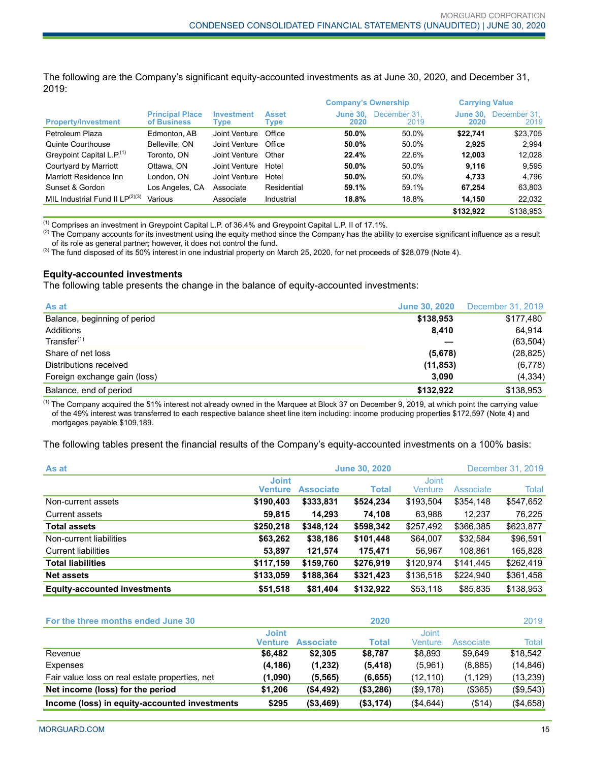The following are the Company's significant equity-accounted investments as at June 30, 2020, and December 31, 2019:

|                                       |                                       |                           |                             | <b>Company's Ownership</b> |                      | <b>Carrying Value</b>   |                      |
|---------------------------------------|---------------------------------------|---------------------------|-----------------------------|----------------------------|----------------------|-------------------------|----------------------|
| <b>Property/Investment</b>            | <b>Principal Place</b><br>of Business | <b>Investment</b><br>Type | <b>Asset</b><br><b>Type</b> | <b>June 30.</b><br>2020    | December 31.<br>2019 | <b>June 30.</b><br>2020 | December 31.<br>2019 |
| Petroleum Plaza                       | Edmonton, AB                          | Joint Venture             | Office                      | 50.0%                      | 50.0%                | \$22.741                | \$23,705             |
| Quinte Courthouse                     | Belleville, ON                        | Joint Venture             | Office                      | 50.0%                      | 50.0%                | 2.925                   | 2.994                |
| Greypoint Capital L.P. <sup>(1)</sup> | Toronto, ON                           | Joint Venture             | Other                       | 22.4%                      | 22.6%                | 12.003                  | 12,028               |
| Courtyard by Marriott                 | Ottawa, ON                            | Joint Venture             | Hotel                       | 50.0%                      | 50.0%                | 9.116                   | 9,595                |
| Marriott Residence Inn                | London. ON                            | Joint Venture             | Hotel                       | 50.0%                      | 50.0%                | 4.733                   | 4,796                |
| Sunset & Gordon                       | Los Angeles, CA                       | Associate                 | Residential                 | 59.1%                      | 59.1%                | 67,254                  | 63,803               |
| MIL Industrial Fund II $LP^{(2)(3)}$  | Various                               | Associate                 | Industrial                  | 18.8%                      | 18.8%                | 14.150                  | 22.032               |
|                                       |                                       |                           |                             |                            |                      | \$132.922               | \$138.953            |

 $<sup>(1)</sup>$  Comprises an investment in Greypoint Capital L.P. of 36.4% and Greypoint Capital L.P. II of 17.1%.</sup>

<sup>(2)</sup> The Company accounts for its investment using the equity method since the Company has the ability to exercise significant influence as a result of its role as general partner; however, it does not control the fund.

(3) The fund disposed of its 50% interest in one industrial property on March 25, 2020, for net proceeds of \$28,079 (Note 4).

#### **Equity-accounted investments**

The following table presents the change in the balance of equity-accounted investments:

| As at                        | <b>June 30, 2020</b> | December 31, 2019 |
|------------------------------|----------------------|-------------------|
| Balance, beginning of period | \$138,953            | \$177,480         |
| Additions                    | 8.410                | 64,914            |
| Transfer <sup>(1)</sup>      |                      | (63, 504)         |
| Share of net loss            | (5,678)              | (28, 825)         |
| Distributions received       | (11, 853)            | (6,778)           |
| Foreign exchange gain (loss) | 3,090                | (4, 334)          |
| Balance, end of period       | \$132.922            | \$138,953         |

 $<sup>(1)</sup>$  The Company acquired the 51% interest not already owned in the Marquee at Block 37 on December 9, 2019, at which point the carrying value</sup> of the 49% interest was transferred to each respective balance sheet line item including: income producing properties \$172,597 (Note 4) and mortgages payable \$109,189.

The following tables present the financial results of the Company's equity-accounted investments on a 100% basis:

| As at                               | December 31, 2019<br><b>June 30, 2020</b> |                  |              |                         |           |           |
|-------------------------------------|-------------------------------------------|------------------|--------------|-------------------------|-----------|-----------|
|                                     | <b>Joint</b><br><b>Venture</b>            | <b>Associate</b> | <b>Total</b> | <b>Joint</b><br>Venture | Associate | Total     |
| Non-current assets                  | \$190,403                                 | \$333,831        | \$524,234    | \$193,504               | \$354,148 | \$547,652 |
| Current assets                      | 59,815                                    | 14,293           | 74,108       | 63,988                  | 12,237    | 76,225    |
| <b>Total assets</b>                 | \$250,218                                 | \$348,124        | \$598,342    | \$257,492               | \$366,385 | \$623,877 |
| Non-current liabilities             | \$63,262                                  | \$38,186         | \$101,448    | \$64,007                | \$32,584  | \$96,591  |
| <b>Current liabilities</b>          | 53,897                                    | 121,574          | 175,471      | 56.967                  | 108,861   | 165,828   |
| <b>Total liabilities</b>            | \$117,159                                 | \$159,760        | \$276,919    | \$120,974               | \$141,445 | \$262,419 |
| <b>Net assets</b>                   | \$133,059                                 | \$188,364        | \$321,423    | \$136,518               | \$224,940 | \$361,458 |
| <b>Equity-accounted investments</b> | \$51,518                                  | \$81,404         | \$132,922    | \$53,118                | \$85,835  | \$138,953 |

| For the three months ended June 30             |                         |                  | 2020         |                  |           | 2019      |
|------------------------------------------------|-------------------------|------------------|--------------|------------------|-----------|-----------|
|                                                | <b>Joint</b><br>Venture | <b>Associate</b> | <b>Total</b> | Joint<br>Venture | Associate | Total     |
| Revenue                                        | \$6.482                 | \$2.305          | \$8.787      | \$8.893          | \$9.649   | \$18,542  |
| Expenses                                       | (4, 186)                | (1,232)          | (5, 418)     | (5,961)          | (8,885)   | (14, 846) |
| Fair value loss on real estate properties, net | (1,090)                 | (5, 565)         | (6, 655)     | (12, 110)        | (1,129)   | (13,239)  |
| Net income (loss) for the period               | \$1.206                 | ( \$4,492)       | ( \$3,286)   | (\$9,178)        | (\$365)   | (\$9,543) |
| Income (loss) in equity-accounted investments  | \$295                   | ( \$3,469)       | (\$3,174)    | (\$4,644)        | (\$14)    | (\$4,658) |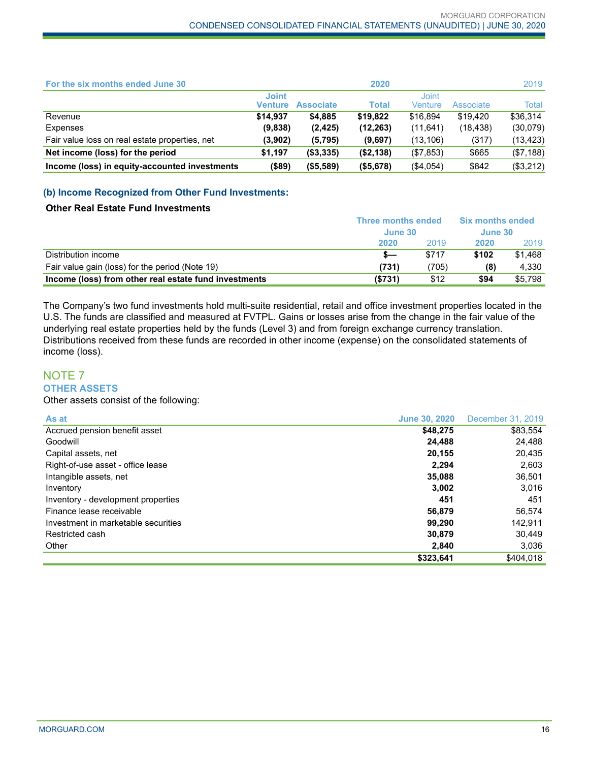| For the six months ended June 30               |                         |                  | 2020       |                  |           | 2019         |
|------------------------------------------------|-------------------------|------------------|------------|------------------|-----------|--------------|
|                                                | <b>Joint</b><br>Venture | <b>Associate</b> | Total      | Joint<br>Venture | Associate | <b>Total</b> |
| Revenue                                        | \$14,937                | \$4,885          | \$19.822   | \$16,894         | \$19,420  | \$36,314     |
| Expenses                                       | (9,838)                 | (2, 425)         | (12, 263)  | (11, 641)        | (18, 438) | (30,079)     |
| Fair value loss on real estate properties, net | (3,902)                 | (5,795)          | (9,697)    | (13, 106)        | (317)     | (13, 423)    |
| Net income (loss) for the period               | \$1,197                 | ( \$3,335)       | (\$2,138)  | (\$7,853)        | \$665     | (\$7,188)    |
| Income (loss) in equity-accounted investments  | $($ \$89)               | (\$5,589)        | ( \$5,678) | (\$4,054)        | \$842     | (\$3,212)    |

## **(b) Income Recognized from Other Fund Investments:**

## **Other Real Estate Fund Investments**

|                                                       | Three months ended | <b>Six months ended</b><br>June 30 |       |         |
|-------------------------------------------------------|--------------------|------------------------------------|-------|---------|
|                                                       | June 30            |                                    |       |         |
|                                                       | 2020               | 2019                               | 2020  | 2019    |
| Distribution income                                   |                    | \$717                              | \$102 | \$1.468 |
| Fair value gain (loss) for the period (Note 19)       | (731)              | (705)                              | (8)   | 4.330   |
| Income (loss) from other real estate fund investments | ( \$731)           | \$12                               | \$94  | \$5.798 |

The Company's two fund investments hold multi-suite residential, retail and office investment properties located in the U.S. The funds are classified and measured at FVTPL. Gains or losses arise from the change in the fair value of the underlying real estate properties held by the funds (Level 3) and from foreign exchange currency translation. Distributions received from these funds are recorded in other income (expense) on the consolidated statements of income (loss).

#### NOTE 7 **OTHER ASSETS**

## Other assets consist of the following:

| As at                               | <b>June 30, 2020</b> | December 31, 2019 |
|-------------------------------------|----------------------|-------------------|
| Accrued pension benefit asset       | \$48,275             | \$83,554          |
| Goodwill                            | 24,488               | 24,488            |
| Capital assets, net                 | 20,155               | 20,435            |
| Right-of-use asset - office lease   | 2.294                | 2,603             |
| Intangible assets, net              | 35,088               | 36,501            |
| Inventory                           | 3,002                | 3,016             |
| Inventory - development properties  | 451                  | 451               |
| Finance lease receivable            | 56.879               | 56.574            |
| Investment in marketable securities | 99.290               | 142,911           |
| Restricted cash                     | 30.879               | 30.449            |
| Other                               | 2,840                | 3,036             |
|                                     | \$323.641            | \$404.018         |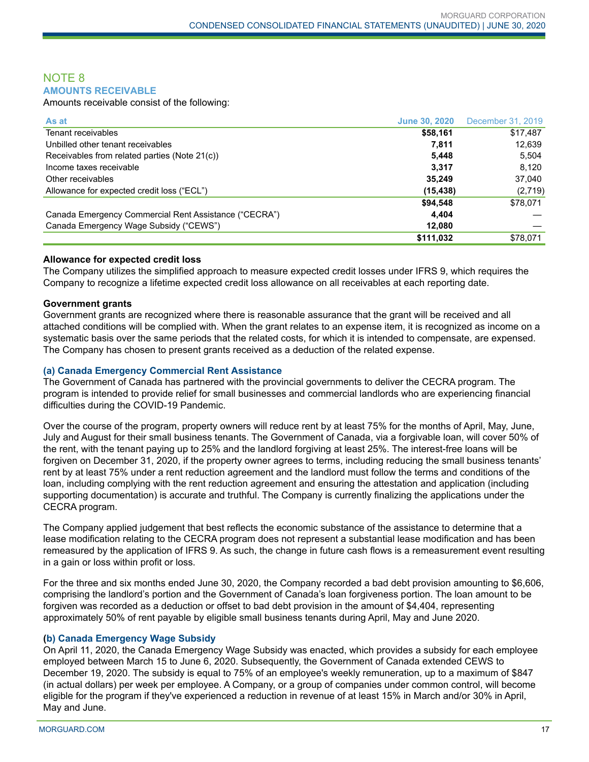## NOTE 8 **AMOUNTS RECEIVABLE**

Amounts receivable consist of the following:

| As at                                                 | <b>June 30, 2020</b> | December 31, 2019 |
|-------------------------------------------------------|----------------------|-------------------|
| Tenant receivables                                    | \$58,161             | \$17,487          |
| Unbilled other tenant receivables                     | 7.811                | 12,639            |
| Receivables from related parties (Note 21(c))         | 5.448                | 5,504             |
| Income taxes receivable                               | 3,317                | 8.120             |
| Other receivables                                     | 35.249               | 37.040            |
| Allowance for expected credit loss ("ECL")            | (15, 438)            | (2,719)           |
|                                                       | \$94,548             | \$78,071          |
| Canada Emergency Commercial Rent Assistance ("CECRA") | 4.404                |                   |
| Canada Emergency Wage Subsidy ("CEWS")                | 12,080               |                   |
|                                                       | \$111,032            | \$78,071          |

#### **Allowance for expected credit loss**

The Company utilizes the simplified approach to measure expected credit losses under IFRS 9, which requires the Company to recognize a lifetime expected credit loss allowance on all receivables at each reporting date.

#### **Government grants**

Government grants are recognized where there is reasonable assurance that the grant will be received and all attached conditions will be complied with. When the grant relates to an expense item, it is recognized as income on a systematic basis over the same periods that the related costs, for which it is intended to compensate, are expensed. The Company has chosen to present grants received as a deduction of the related expense.

#### **(a) Canada Emergency Commercial Rent Assistance**

The Government of Canada has partnered with the provincial governments to deliver the CECRA program. The program is intended to provide relief for small businesses and commercial landlords who are experiencing financial difficulties during the COVID-19 Pandemic.

Over the course of the program, property owners will reduce rent by at least 75% for the months of April, May, June, July and August for their small business tenants. The Government of Canada, via a forgivable loan, will cover 50% of the rent, with the tenant paying up to 25% and the landlord forgiving at least 25%. The interest-free loans will be forgiven on December 31, 2020, if the property owner agrees to terms, including reducing the small business tenants' rent by at least 75% under a rent reduction agreement and the landlord must follow the terms and conditions of the loan, including complying with the rent reduction agreement and ensuring the attestation and application (including supporting documentation) is accurate and truthful. The Company is currently finalizing the applications under the CECRA program.

The Company applied judgement that best reflects the economic substance of the assistance to determine that a lease modification relating to the CECRA program does not represent a substantial lease modification and has been remeasured by the application of IFRS 9. As such, the change in future cash flows is a remeasurement event resulting in a gain or loss within profit or loss.

For the three and six months ended June 30, 2020, the Company recorded a bad debt provision amounting to \$6,606, comprising the landlord's portion and the Government of Canada's loan forgiveness portion. The loan amount to be forgiven was recorded as a deduction or offset to bad debt provision in the amount of \$4,404, representing approximately 50% of rent payable by eligible small business tenants during April, May and June 2020.

## **(b) Canada Emergency Wage Subsidy**

On April 11, 2020, the Canada Emergency Wage Subsidy was enacted, which provides a subsidy for each employee employed between March 15 to June 6, 2020. Subsequently, the Government of Canada extended CEWS to December 19, 2020. The subsidy is equal to 75% of an employee's weekly remuneration, up to a maximum of \$847 (in actual dollars) per week per employee. A Company, or a group of companies under common control, will become eligible for the program if they've experienced a reduction in revenue of at least 15% in March and/or 30% in April, May and June.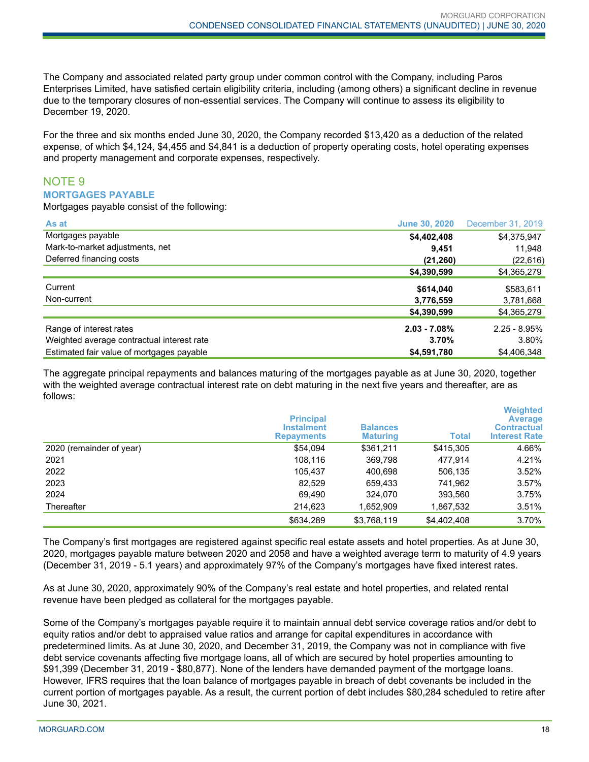The Company and associated related party group under common control with the Company, including Paros Enterprises Limited, have satisfied certain eligibility criteria, including (among others) a significant decline in revenue due to the temporary closures of non-essential services. The Company will continue to assess its eligibility to December 19, 2020.

For the three and six months ended June 30, 2020, the Company recorded \$13,420 as a deduction of the related expense, of which \$4,124, \$4,455 and \$4,841 is a deduction of property operating costs, hotel operating expenses and property management and corporate expenses, respectively.

## NOTE 9 **MORTGAGES PAYABLE**

Mortgages payable consist of the following:

| As at                                      | <b>June 30, 2020</b> | December 31, 2019 |
|--------------------------------------------|----------------------|-------------------|
| Mortgages payable                          | \$4,402,408          | \$4,375,947       |
| Mark-to-market adjustments, net            | 9,451                | 11,948            |
| Deferred financing costs                   | (21, 260)            | (22, 616)         |
|                                            | \$4,390,599          | \$4,365,279       |
| Current                                    | \$614,040            | \$583,611         |
| Non-current                                | 3,776,559            | 3,781,668         |
|                                            | \$4,390,599          | \$4,365,279       |
| Range of interest rates                    | $2.03 - 7.08%$       | $2.25 - 8.95%$    |
| Weighted average contractual interest rate | 3.70%                | 3.80%             |
| Estimated fair value of mortgages payable  | \$4,591,780          | \$4,406,348       |

The aggregate principal repayments and balances maturing of the mortgages payable as at June 30, 2020, together with the weighted average contractual interest rate on debt maturing in the next five years and thereafter, are as follows:

|                          | <b>Principal</b><br><b>Instalment</b><br><b>Repayments</b> | <b>Balances</b><br><b>Maturing</b> | <b>Total</b> | Weighted<br><b>Average</b><br><b>Contractual</b><br><b>Interest Rate</b> |
|--------------------------|------------------------------------------------------------|------------------------------------|--------------|--------------------------------------------------------------------------|
| 2020 (remainder of year) | \$54,094                                                   | \$361,211                          | \$415,305    | 4.66%                                                                    |
| 2021                     | 108,116                                                    | 369,798                            | 477.914      | 4.21%                                                                    |
| 2022                     | 105.437                                                    | 400,698                            | 506,135      | 3.52%                                                                    |
| 2023                     | 82.529                                                     | 659,433                            | 741,962      | 3.57%                                                                    |
| 2024                     | 69,490                                                     | 324,070                            | 393,560      | 3.75%                                                                    |
| Thereafter               | 214,623                                                    | 1,652,909                          | 1,867,532    | 3.51%                                                                    |
|                          | \$634.289                                                  | \$3,768,119                        | \$4,402,408  | 3.70%                                                                    |

The Company's first mortgages are registered against specific real estate assets and hotel properties. As at June 30, 2020, mortgages payable mature between 2020 and 2058 and have a weighted average term to maturity of 4.9 years (December 31, 2019 - 5.1 years) and approximately 97% of the Company's mortgages have fixed interest rates.

As at June 30, 2020, approximately 90% of the Company's real estate and hotel properties, and related rental revenue have been pledged as collateral for the mortgages payable.

Some of the Company's mortgages payable require it to maintain annual debt service coverage ratios and/or debt to equity ratios and/or debt to appraised value ratios and arrange for capital expenditures in accordance with predetermined limits. As at June 30, 2020, and December 31, 2019, the Company was not in compliance with five debt service covenants affecting five mortgage loans, all of which are secured by hotel properties amounting to \$91,399 (December 31, 2019 - \$80,877). None of the lenders have demanded payment of the mortgage loans. However, IFRS requires that the loan balance of mortgages payable in breach of debt covenants be included in the current portion of mortgages payable. As a result, the current portion of debt includes \$80,284 scheduled to retire after June 30, 2021.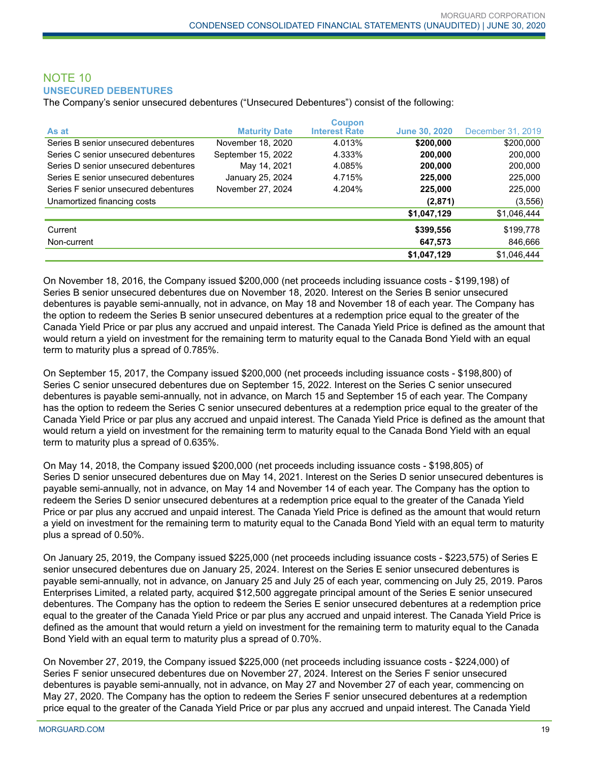## NOTE 10 **UNSECURED DEBENTURES**

The Company's senior unsecured debentures ("Unsecured Debentures") consist of the following:

| As at                                | <b>Maturity Date</b> | <b>Coupon</b><br><b>Interest Rate</b> | <b>June 30, 2020</b> | December 31, 2019 |
|--------------------------------------|----------------------|---------------------------------------|----------------------|-------------------|
| Series B senior unsecured debentures | November 18, 2020    | 4.013%                                | \$200,000            | \$200,000         |
| Series C senior unsecured debentures | September 15, 2022   | 4.333%                                | 200,000              | 200,000           |
|                                      |                      |                                       |                      |                   |
| Series D senior unsecured debentures | May 14, 2021         | 4.085%                                | 200,000              | 200,000           |
| Series E senior unsecured debentures | January 25, 2024     | 4.715%                                | 225,000              | 225,000           |
| Series F senior unsecured debentures | November 27, 2024    | 4.204%                                | 225,000              | 225,000           |
| Unamortized financing costs          |                      |                                       | (2,871)              | (3, 556)          |
|                                      |                      |                                       | \$1,047,129          | \$1,046,444       |
| Current                              |                      |                                       | \$399,556            | \$199,778         |
| Non-current                          |                      |                                       | 647,573              | 846,666           |
|                                      |                      |                                       | \$1,047,129          | \$1,046,444       |

On November 18, 2016, the Company issued \$200,000 (net proceeds including issuance costs - \$199,198) of Series B senior unsecured debentures due on November 18, 2020. Interest on the Series B senior unsecured debentures is payable semi-annually, not in advance, on May 18 and November 18 of each year. The Company has the option to redeem the Series B senior unsecured debentures at a redemption price equal to the greater of the Canada Yield Price or par plus any accrued and unpaid interest. The Canada Yield Price is defined as the amount that would return a yield on investment for the remaining term to maturity equal to the Canada Bond Yield with an equal term to maturity plus a spread of 0.785%.

On September 15, 2017, the Company issued \$200,000 (net proceeds including issuance costs - \$198,800) of Series C senior unsecured debentures due on September 15, 2022. Interest on the Series C senior unsecured debentures is payable semi-annually, not in advance, on March 15 and September 15 of each year. The Company has the option to redeem the Series C senior unsecured debentures at a redemption price equal to the greater of the Canada Yield Price or par plus any accrued and unpaid interest. The Canada Yield Price is defined as the amount that would return a yield on investment for the remaining term to maturity equal to the Canada Bond Yield with an equal term to maturity plus a spread of 0.635%.

On May 14, 2018, the Company issued \$200,000 (net proceeds including issuance costs - \$198,805) of Series D senior unsecured debentures due on May 14, 2021. Interest on the Series D senior unsecured debentures is payable semi-annually, not in advance, on May 14 and November 14 of each year. The Company has the option to redeem the Series D senior unsecured debentures at a redemption price equal to the greater of the Canada Yield Price or par plus any accrued and unpaid interest. The Canada Yield Price is defined as the amount that would return a yield on investment for the remaining term to maturity equal to the Canada Bond Yield with an equal term to maturity plus a spread of 0.50%.

On January 25, 2019, the Company issued \$225,000 (net proceeds including issuance costs - \$223,575) of Series E senior unsecured debentures due on January 25, 2024. Interest on the Series E senior unsecured debentures is payable semi-annually, not in advance, on January 25 and July 25 of each year, commencing on July 25, 2019. Paros Enterprises Limited, a related party, acquired \$12,500 aggregate principal amount of the Series E senior unsecured debentures. The Company has the option to redeem the Series E senior unsecured debentures at a redemption price equal to the greater of the Canada Yield Price or par plus any accrued and unpaid interest. The Canada Yield Price is defined as the amount that would return a yield on investment for the remaining term to maturity equal to the Canada Bond Yield with an equal term to maturity plus a spread of 0.70%.

On November 27, 2019, the Company issued \$225,000 (net proceeds including issuance costs - \$224,000) of Series F senior unsecured debentures due on November 27, 2024. Interest on the Series F senior unsecured debentures is payable semi-annually, not in advance, on May 27 and November 27 of each year, commencing on May 27, 2020. The Company has the option to redeem the Series F senior unsecured debentures at a redemption price equal to the greater of the Canada Yield Price or par plus any accrued and unpaid interest. The Canada Yield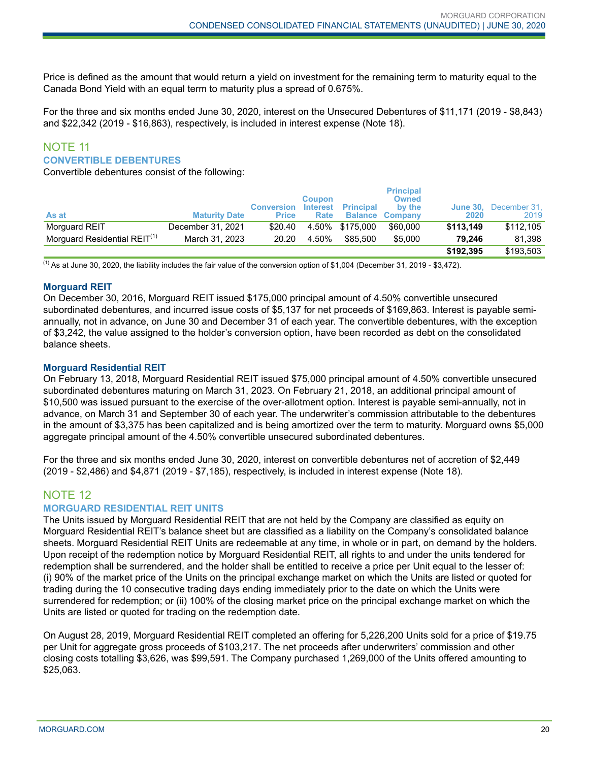Price is defined as the amount that would return a yield on investment for the remaining term to maturity equal to the Canada Bond Yield with an equal term to maturity plus a spread of 0.675%.

For the three and six months ended June 30, 2020, interest on the Unsecured Debentures of \$11,171 (2019 - \$8,843) and \$22,342 (2019 - \$16,863), respectively, is included in interest expense (Note 18).

#### NOTE 11 **CONVERTIBLE DEBENTURES**

Convertible debentures consist of the following:

|                                          |                      | <b>Conversion</b> | <b>Coupon</b><br><b>Interest</b> | <b>Principal</b> | <b>Principal</b><br><b>Owned</b><br>by the | <b>June 30.</b> | December 31, |
|------------------------------------------|----------------------|-------------------|----------------------------------|------------------|--------------------------------------------|-----------------|--------------|
| As at                                    | <b>Maturity Date</b> | <b>Price</b>      | Rate                             |                  | <b>Balance Company</b>                     | 2020            | 2019         |
| Morguard REIT                            | December 31, 2021    | \$20.40           |                                  | 4.50% \$175.000  | \$60,000                                   | \$113.149       | \$112,105    |
| Morguard Residential REIT <sup>(1)</sup> | March 31, 2023       | 20.20             | 4.50%                            | \$85.500         | \$5,000                                    | 79.246          | 81.398       |
|                                          |                      |                   |                                  |                  |                                            | \$192.395       | \$193.503    |

 $<sup>(1)</sup>$  As at June 30, 2020, the liability includes the fair value of the conversion option of \$1,004 (December 31, 2019 - \$3,472).</sup>

## **Morguard REIT**

On December 30, 2016, Morguard REIT issued \$175,000 principal amount of 4.50% convertible unsecured subordinated debentures, and incurred issue costs of \$5,137 for net proceeds of \$169,863. Interest is payable semiannually, not in advance, on June 30 and December 31 of each year. The convertible debentures, with the exception of \$3,242, the value assigned to the holder's conversion option, have been recorded as debt on the consolidated balance sheets.

## **Morguard Residential REIT**

On February 13, 2018, Morguard Residential REIT issued \$75,000 principal amount of 4.50% convertible unsecured subordinated debentures maturing on March 31, 2023. On February 21, 2018, an additional principal amount of \$10,500 was issued pursuant to the exercise of the over-allotment option. Interest is payable semi-annually, not in advance, on March 31 and September 30 of each year. The underwriter's commission attributable to the debentures in the amount of \$3,375 has been capitalized and is being amortized over the term to maturity. Morguard owns \$5,000 aggregate principal amount of the 4.50% convertible unsecured subordinated debentures.

For the three and six months ended June 30, 2020, interest on convertible debentures net of accretion of \$2,449 (2019 - \$2,486) and \$4,871 (2019 - \$7,185), respectively, is included in interest expense (Note 18).

## NOTE 12

## **MORGUARD RESIDENTIAL REIT UNITS**

The Units issued by Morguard Residential REIT that are not held by the Company are classified as equity on Morguard Residential REIT's balance sheet but are classified as a liability on the Company's consolidated balance sheets. Morguard Residential REIT Units are redeemable at any time, in whole or in part, on demand by the holders. Upon receipt of the redemption notice by Morguard Residential REIT, all rights to and under the units tendered for redemption shall be surrendered, and the holder shall be entitled to receive a price per Unit equal to the lesser of: (i) 90% of the market price of the Units on the principal exchange market on which the Units are listed or quoted for trading during the 10 consecutive trading days ending immediately prior to the date on which the Units were surrendered for redemption; or (ii) 100% of the closing market price on the principal exchange market on which the Units are listed or quoted for trading on the redemption date.

On August 28, 2019, Morguard Residential REIT completed an offering for 5,226,200 Units sold for a price of \$19.75 per Unit for aggregate gross proceeds of \$103,217. The net proceeds after underwriters' commission and other closing costs totalling \$3,626, was \$99,591. The Company purchased 1,269,000 of the Units offered amounting to \$25,063.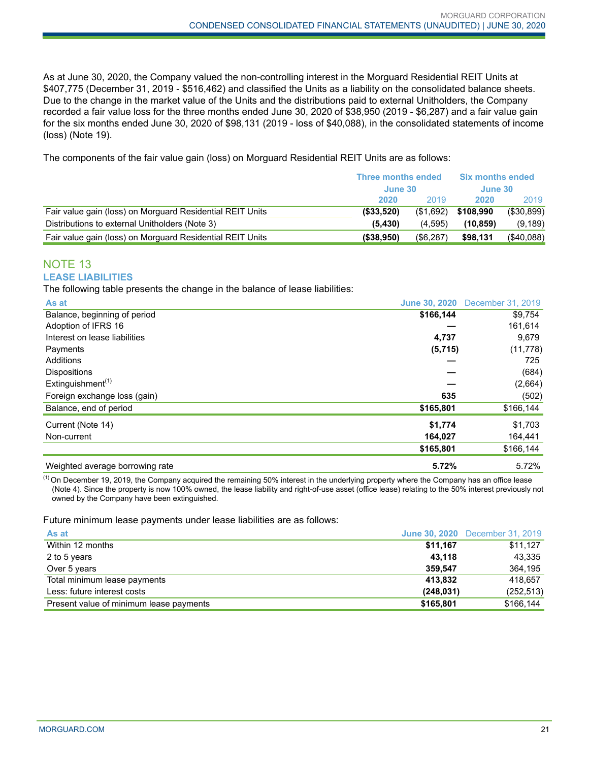As at June 30, 2020, the Company valued the non-controlling interest in the Morguard Residential REIT Units at \$407,775 (December 31, 2019 - \$516,462) and classified the Units as a liability on the consolidated balance sheets. Due to the change in the market value of the Units and the distributions paid to external Unitholders, the Company recorded a fair value loss for the three months ended June 30, 2020 of \$38,950 (2019 - \$6,287) and a fair value gain for the six months ended June 30, 2020 of \$98,131 (2019 - loss of \$40,088), in the consolidated statements of income (loss) (Note 19).

The components of the fair value gain (loss) on Morguard Residential REIT Units are as follows:

|                                                           | <b>Three months ended</b> |           | <b>Six months ended</b> |               |
|-----------------------------------------------------------|---------------------------|-----------|-------------------------|---------------|
|                                                           | June 30                   |           | June 30                 |               |
|                                                           | 2020                      | 2019      | 2020                    | 2019          |
| Fair value gain (loss) on Morguard Residential REIT Units | ( \$33,520)               | (\$1,692) | \$108.990               | (\$30,899)    |
| Distributions to external Unitholders (Note 3)            | (5.430)                   | (4.595)   | (10.859)                | (9, 189)      |
| Fair value gain (loss) on Morguard Residential REIT Units | (\$38,950)                | (\$6,287) | \$98,131                | $($ \$40,088) |

## NOTE 13 **LEASE LIABILITIES**

The following table presents the change in the balance of lease liabilities:

| As at                           | <b>June 30, 2020</b> | December 31, 2019 |
|---------------------------------|----------------------|-------------------|
| Balance, beginning of period    | \$166,144            | \$9,754           |
| Adoption of IFRS 16             |                      | 161,614           |
| Interest on lease liabilities   | 4,737                | 9,679             |
| Payments                        | (5,715)              | (11, 778)         |
| Additions                       |                      | 725               |
| <b>Dispositions</b>             |                      | (684)             |
| Extinguishment <sup>(1)</sup>   |                      | (2,664)           |
| Foreign exchange loss (gain)    | 635                  | (502)             |
| Balance, end of period          | \$165,801            | \$166,144         |
| Current (Note 14)               | \$1,774              | \$1,703           |
| Non-current                     | 164,027              | 164,441           |
|                                 | \$165,801            | \$166,144         |
| Weighted average borrowing rate | 5.72%                | 5.72%             |

 $^{(1)}$  On December 19, 2019, the Company acquired the remaining 50% interest in the underlying property where the Company has an office lease (Note 4). Since the property is now 100% owned, the lease liability and right-of-use asset (office lease) relating to the 50% interest previously not owned by the Company have been extinguished.

Future minimum lease payments under lease liabilities are as follows:

| As at                                   |            | <b>June 30, 2020</b> December 31, 2019 |
|-----------------------------------------|------------|----------------------------------------|
| Within 12 months                        | \$11.167   | \$11,127                               |
| 2 to 5 years                            | 43.118     | 43,335                                 |
| Over 5 years                            | 359.547    | 364,195                                |
| Total minimum lease payments            | 413.832    | 418.657                                |
| Less: future interest costs             | (248, 031) | (252, 513)                             |
| Present value of minimum lease payments | \$165,801  | \$166,144                              |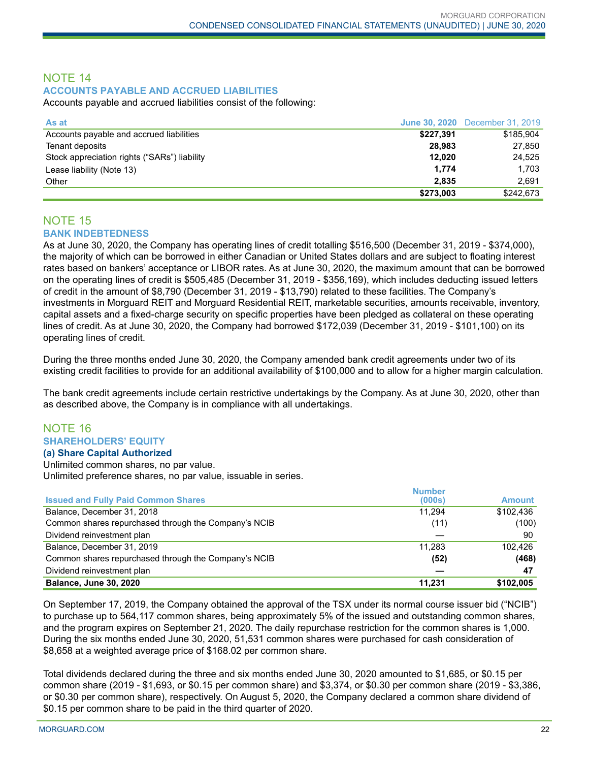## NOTE 14 **ACCOUNTS PAYABLE AND ACCRUED LIABILITIES**

Accounts payable and accrued liabilities consist of the following:

| As at                                        |           | <b>June 30, 2020</b> December 31, 2019 |
|----------------------------------------------|-----------|----------------------------------------|
| Accounts payable and accrued liabilities     | \$227,391 | \$185,904                              |
| Tenant deposits                              | 28.983    | 27,850                                 |
| Stock appreciation rights ("SARs") liability | 12.020    | 24.525                                 |
| Lease liability (Note 13)                    | 1.774     | 1,703                                  |
| Other                                        | 2.835     | 2.691                                  |
|                                              | \$273,003 | \$242,673                              |

## NOTE 15 **BANK INDEBTEDNESS**

As at June 30, 2020, the Company has operating lines of credit totalling \$516,500 (December 31, 2019 - \$374,000), the majority of which can be borrowed in either Canadian or United States dollars and are subject to floating interest rates based on bankers' acceptance or LIBOR rates. As at June 30, 2020, the maximum amount that can be borrowed on the operating lines of credit is \$505,485 (December 31, 2019 - \$356,169), which includes deducting issued letters of credit in the amount of \$8,790 (December 31, 2019 - \$13,790) related to these facilities. The Company's investments in Morguard REIT and Morguard Residential REIT, marketable securities, amounts receivable, inventory, capital assets and a fixed-charge security on specific properties have been pledged as collateral on these operating lines of credit. As at June 30, 2020, the Company had borrowed \$172,039 (December 31, 2019 - \$101,100) on its operating lines of credit.

During the three months ended June 30, 2020, the Company amended bank credit agreements under two of its existing credit facilities to provide for an additional availability of \$100,000 and to allow for a higher margin calculation.

The bank credit agreements include certain restrictive undertakings by the Company. As at June 30, 2020, other than as described above, the Company is in compliance with all undertakings.

#### NOTE 16 **SHAREHOLDERS' EQUITY (a) Share Capital Authorized**

Unlimited common shares, no par value. Unlimited preference shares, no par value, issuable in series.

|                                                      | <b>Number</b> |               |
|------------------------------------------------------|---------------|---------------|
| <b>Issued and Fully Paid Common Shares</b>           | (000s)        | <b>Amount</b> |
| Balance, December 31, 2018                           | 11.294        | \$102.436     |
| Common shares repurchased through the Company's NCIB | (11)          | (100)         |
| Dividend reinvestment plan                           |               | 90            |
| Balance, December 31, 2019                           | 11.283        | 102.426       |
| Common shares repurchased through the Company's NCIB | (52)          | (468)         |
| Dividend reinvestment plan                           |               | -47           |
| <b>Balance, June 30, 2020</b>                        | 11,231        | \$102,005     |

On September 17, 2019, the Company obtained the approval of the TSX under its normal course issuer bid ("NCIB") to purchase up to 564,117 common shares, being approximately 5% of the issued and outstanding common shares, and the program expires on September 21, 2020. The daily repurchase restriction for the common shares is 1,000. During the six months ended June 30, 2020, 51,531 common shares were purchased for cash consideration of \$8,658 at a weighted average price of \$168.02 per common share.

Total dividends declared during the three and six months ended June 30, 2020 amounted to \$1,685, or \$0.15 per common share (2019 - \$1,693, or \$0.15 per common share) and \$3,374, or \$0.30 per common share (2019 - \$3,386, or \$0.30 per common share), respectively. On August 5, 2020, the Company declared a common share dividend of \$0.15 per common share to be paid in the third quarter of 2020.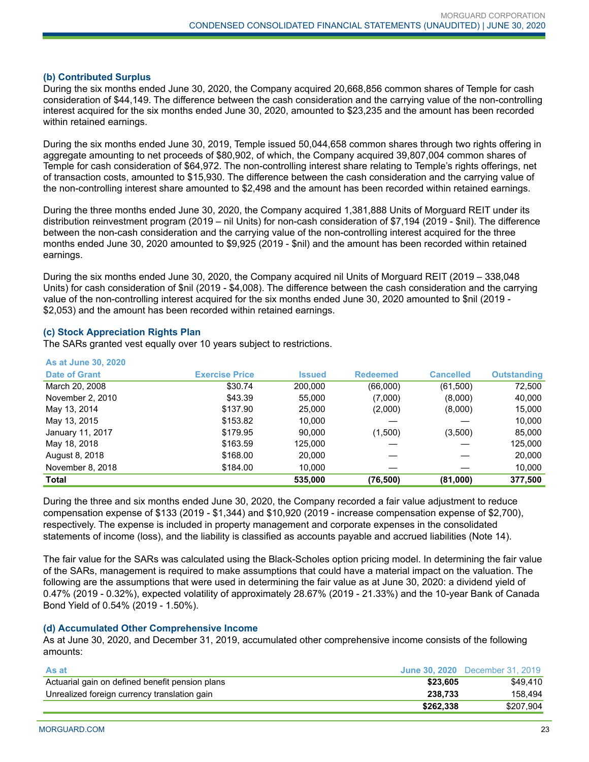#### **(b) Contributed Surplus**

During the six months ended June 30, 2020, the Company acquired 20,668,856 common shares of Temple for cash consideration of \$44,149. The difference between the cash consideration and the carrying value of the non-controlling interest acquired for the six months ended June 30, 2020, amounted to \$23,235 and the amount has been recorded within retained earnings.

During the six months ended June 30, 2019, Temple issued 50,044,658 common shares through two rights offering in aggregate amounting to net proceeds of \$80,902, of which, the Company acquired 39,807,004 common shares of Temple for cash consideration of \$64,972. The non-controlling interest share relating to Temple's rights offerings, net of transaction costs, amounted to \$15,930. The difference between the cash consideration and the carrying value of the non-controlling interest share amounted to \$2,498 and the amount has been recorded within retained earnings.

During the three months ended June 30, 2020, the Company acquired 1,381,888 Units of Morguard REIT under its distribution reinvestment program (2019 – nil Units) for non-cash consideration of \$7,194 (2019 - \$nil). The difference between the non-cash consideration and the carrying value of the non-controlling interest acquired for the three months ended June 30, 2020 amounted to \$9,925 (2019 - \$nil) and the amount has been recorded within retained earnings.

During the six months ended June 30, 2020, the Company acquired nil Units of Morguard REIT (2019 – 338,048 Units) for cash consideration of \$nil (2019 - \$4,008). The difference between the cash consideration and the carrying value of the non-controlling interest acquired for the six months ended June 30, 2020 amounted to \$nil (2019 - \$2,053) and the amount has been recorded within retained earnings.

## **(c) Stock Appreciation Rights Plan**

The SARs granted vest equally over 10 years subject to restrictions.

| <b>As at June 30, 2020</b> |                       |               |                 |                  |                    |
|----------------------------|-----------------------|---------------|-----------------|------------------|--------------------|
| <b>Date of Grant</b>       | <b>Exercise Price</b> | <b>Issued</b> | <b>Redeemed</b> | <b>Cancelled</b> | <b>Outstanding</b> |
| March 20, 2008             | \$30.74               | 200.000       | (66,000)        | (61,500)         | 72,500             |
| November 2, 2010           | \$43.39               | 55,000        | (7,000)         | (8,000)          | 40,000             |
| May 13, 2014               | \$137.90              | 25,000        | (2,000)         | (8,000)          | 15,000             |
| May 13, 2015               | \$153.82              | 10,000        |                 |                  | 10,000             |
| January 11, 2017           | \$179.95              | 90.000        | (1,500)         | (3,500)          | 85,000             |
| May 18, 2018               | \$163.59              | 125,000       |                 |                  | 125,000            |
| August 8, 2018             | \$168.00              | 20,000        |                 |                  | 20,000             |
| November 8, 2018           | \$184.00              | 10.000        |                 |                  | 10,000             |
| Total                      |                       | 535,000       | (76, 500)       | (81,000)         | 377,500            |

During the three and six months ended June 30, 2020, the Company recorded a fair value adjustment to reduce compensation expense of \$133 (2019 - \$1,344) and \$10,920 (2019 - increase compensation expense of \$2,700), respectively. The expense is included in property management and corporate expenses in the consolidated statements of income (loss), and the liability is classified as accounts payable and accrued liabilities (Note 14).

The fair value for the SARs was calculated using the Black-Scholes option pricing model. In determining the fair value of the SARs, management is required to make assumptions that could have a material impact on the valuation. The following are the assumptions that were used in determining the fair value as at June 30, 2020: a dividend yield of 0.47% (2019 - 0.32%), expected volatility of approximately 28.67% (2019 - 21.33%) and the 10-year Bank of Canada Bond Yield of 0.54% (2019 - 1.50%).

## **(d) Accumulated Other Comprehensive Income**

As at June 30, 2020, and December 31, 2019, accumulated other comprehensive income consists of the following amounts:

| As at                                           |           | <b>June 30, 2020</b> December 31, 2019 |
|-------------------------------------------------|-----------|----------------------------------------|
| Actuarial gain on defined benefit pension plans | \$23.605  | \$49.410                               |
| Unrealized foreign currency translation gain    | 238.733   | 158.494                                |
|                                                 | \$262.338 | \$207.904                              |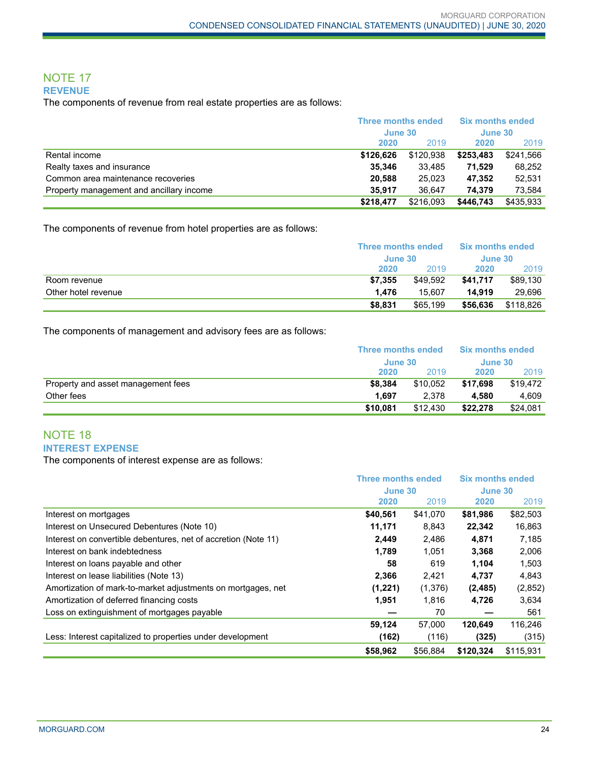## NOTE 17 **REVENUE**

The components of revenue from real estate properties are as follows:

|                                          | Three months ended |           | <b>Six months ended</b> |           |  |
|------------------------------------------|--------------------|-----------|-------------------------|-----------|--|
|                                          |                    | June 30   |                         | June 30   |  |
|                                          | 2020               | 2019      | 2020                    | 2019      |  |
| Rental income                            | \$126.626          | \$120.938 | \$253,483               | \$241,566 |  |
| Realty taxes and insurance               | 35,346             | 33.485    | 71.529                  | 68.252    |  |
| Common area maintenance recoveries       | 20.588             | 25.023    | 47.352                  | 52.531    |  |
| Property management and ancillary income | 35.917             | 36.647    | 74.379                  | 73.584    |  |
|                                          | \$218.477          | \$216,093 | \$446,743               | \$435.933 |  |

The components of revenue from hotel properties are as follows:

|                     | Three months ended<br>June 30 |          | <b>Six months ended</b><br>June 30 |           |
|---------------------|-------------------------------|----------|------------------------------------|-----------|
|                     |                               |          |                                    |           |
|                     | 2020                          | 2019     | 2020                               | 2019      |
| Room revenue        | \$7.355                       | \$49.592 | \$41.717                           | \$89,130  |
| Other hotel revenue | 1.476                         | 15.607   | 14.919                             | 29.696    |
|                     | \$8.831                       | \$65,199 | \$56,636                           | \$118.826 |

The components of management and advisory fees are as follows:

|                                    | Three months ended<br>June 30 |          | <b>Six months ended</b><br>June 30 |          |
|------------------------------------|-------------------------------|----------|------------------------------------|----------|
|                                    |                               |          |                                    |          |
|                                    | 2020                          | 2019     | 2020                               | 2019     |
| Property and asset management fees | \$8.384                       | \$10.052 | \$17.698                           | \$19.472 |
| Other fees                         | 1.697                         | 2.378    | 4.580                              | 4.609    |
|                                    | \$10.081                      | \$12,430 | \$22,278                           | \$24,081 |

## NOTE 18 **INTEREST EXPENSE**

The components of interest expense are as follows:

|                                                                | <b>Three months ended</b> |          | <b>Six months ended</b> |           |
|----------------------------------------------------------------|---------------------------|----------|-------------------------|-----------|
|                                                                | June 30                   |          | June 30                 |           |
|                                                                | 2020                      | 2019     | 2020                    | 2019      |
| Interest on mortgages                                          | \$40,561                  | \$41,070 | \$81,986                | \$82,503  |
| Interest on Unsecured Debentures (Note 10)                     | 11,171                    | 8.843    | 22,342                  | 16,863    |
| Interest on convertible debentures, net of accretion (Note 11) | 2,449                     | 2,486    | 4,871                   | 7,185     |
| Interest on bank indebtedness                                  | 1,789                     | 1,051    | 3,368                   | 2,006     |
| Interest on loans payable and other                            | 58                        | 619      | 1.104                   | 1,503     |
| Interest on lease liabilities (Note 13)                        | 2,366                     | 2,421    | 4,737                   | 4,843     |
| Amortization of mark-to-market adjustments on mortgages, net   | (1,221)                   | (1,376)  | (2, 485)                | (2,852)   |
| Amortization of deferred financing costs                       | 1,951                     | 1.816    | 4,726                   | 3,634     |
| Loss on extinguishment of mortgages payable                    |                           | 70       |                         | 561       |
|                                                                | 59,124                    | 57,000   | 120,649                 | 116,246   |
| Less: Interest capitalized to properties under development     | (162)                     | (116)    | (325)                   | (315)     |
|                                                                | \$58,962                  | \$56,884 | \$120.324               | \$115.931 |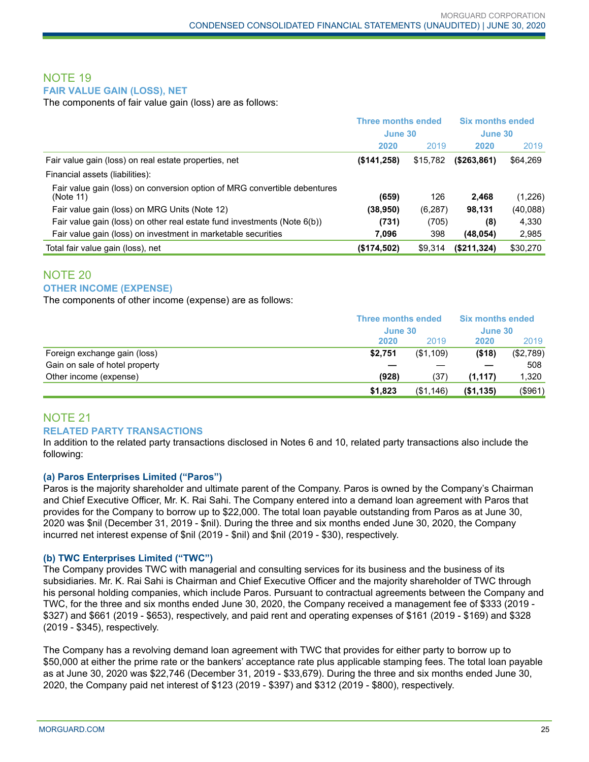## NOTE 19 **FAIR VALUE GAIN (LOSS), NET**

The components of fair value gain (loss) are as follows:

|                                                                                        | <b>Three months ended</b><br>June 30 |          | <b>Six months ended</b><br>June 30 |          |
|----------------------------------------------------------------------------------------|--------------------------------------|----------|------------------------------------|----------|
|                                                                                        |                                      |          |                                    |          |
|                                                                                        | 2020                                 | 2019     | 2020                               | 2019     |
| Fair value gain (loss) on real estate properties, net                                  | $($ \$141,258)                       | \$15,782 | (\$263,861)                        | \$64,269 |
| Financial assets (liabilities):                                                        |                                      |          |                                    |          |
| Fair value gain (loss) on conversion option of MRG convertible debentures<br>(Note 11) | (659)                                | 126      | 2.468                              | (1,226)  |
| Fair value gain (loss) on MRG Units (Note 12)                                          | (38, 950)                            | (6,287)  | 98,131                             | (40,088) |
| Fair value gain (loss) on other real estate fund investments (Note $6(b)$ )            | (731)                                | (705)    | (8)                                | 4,330    |
| Fair value gain (loss) on investment in marketable securities                          | 7,096                                | 398      | (48, 054)                          | 2,985    |
| Total fair value gain (loss), net                                                      | (\$174,502)                          | \$9,314  | (\$211,324)                        | \$30,270 |

## NOTE 20 **OTHER INCOME (EXPENSE)**

The components of other income (expense) are as follows:

|                                | <b>Three months ended</b> |           | <b>Six months ended</b> |           |  |
|--------------------------------|---------------------------|-----------|-------------------------|-----------|--|
|                                |                           | June 30   |                         | June 30   |  |
|                                | 2020                      | 2019      | 2020                    | 2019      |  |
| Foreign exchange gain (loss)   | \$2,751                   | (\$1,109) | ( \$18)                 | (\$2,789) |  |
| Gain on sale of hotel property |                           |           |                         | 508       |  |
| Other income (expense)         | (928)                     | (37)      | (1, 117)                | 1,320     |  |
|                                | \$1,823                   | (\$1,146) | (\$1,135)               | (\$961)   |  |

## NOTE 21 **RELATED PARTY TRANSACTIONS**

In addition to the related party transactions disclosed in Notes 6 and 10, related party transactions also include the following:

## **(a) Paros Enterprises Limited ("Paros")**

Paros is the majority shareholder and ultimate parent of the Company. Paros is owned by the Company's Chairman and Chief Executive Officer, Mr. K. Rai Sahi. The Company entered into a demand loan agreement with Paros that provides for the Company to borrow up to \$22,000. The total loan payable outstanding from Paros as at June 30, 2020 was \$nil (December 31, 2019 - \$nil). During the three and six months ended June 30, 2020, the Company incurred net interest expense of \$nil (2019 - \$nil) and \$nil (2019 - \$30), respectively.

## **(b) TWC Enterprises Limited ("TWC")**

The Company provides TWC with managerial and consulting services for its business and the business of its subsidiaries. Mr. K. Rai Sahi is Chairman and Chief Executive Officer and the majority shareholder of TWC through his personal holding companies, which include Paros. Pursuant to contractual agreements between the Company and TWC, for the three and six months ended June 30, 2020, the Company received a management fee of \$333 (2019 - \$327) and \$661 (2019 - \$653), respectively, and paid rent and operating expenses of \$161 (2019 - \$169) and \$328 (2019 - \$345), respectively.

The Company has a revolving demand loan agreement with TWC that provides for either party to borrow up to \$50,000 at either the prime rate or the bankers' acceptance rate plus applicable stamping fees. The total loan payable as at June 30, 2020 was \$22,746 (December 31, 2019 - \$33,679). During the three and six months ended June 30, 2020, the Company paid net interest of \$123 (2019 - \$397) and \$312 (2019 - \$800), respectively.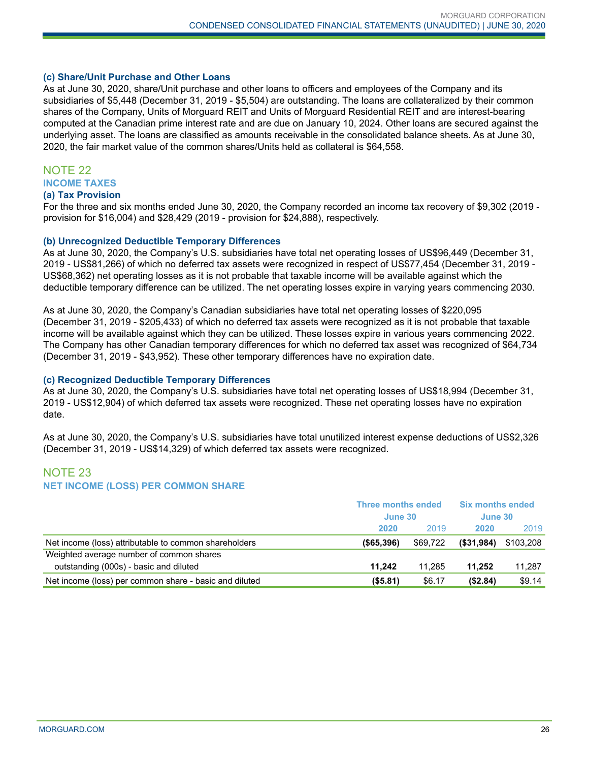#### **(c) Share/Unit Purchase and Other Loans**

As at June 30, 2020, share/Unit purchase and other loans to officers and employees of the Company and its subsidiaries of \$5,448 (December 31, 2019 - \$5,504) are outstanding. The loans are collateralized by their common shares of the Company, Units of Morguard REIT and Units of Morguard Residential REIT and are interest-bearing computed at the Canadian prime interest rate and are due on January 10, 2024. Other loans are secured against the underlying asset. The loans are classified as amounts receivable in the consolidated balance sheets. As at June 30, 2020, the fair market value of the common shares/Units held as collateral is \$64,558.

# NOTE 22 **INCOME TAXES**

**(a) Tax Provision**

For the three and six months ended June 30, 2020, the Company recorded an income tax recovery of \$9,302 (2019 provision for \$16,004) and \$28,429 (2019 - provision for \$24,888), respectively.

#### **(b) Unrecognized Deductible Temporary Differences**

As at June 30, 2020, the Company's U.S. subsidiaries have total net operating losses of US\$96,449 (December 31, 2019 - US\$81,266) of which no deferred tax assets were recognized in respect of US\$77,454 (December 31, 2019 - US\$68,362) net operating losses as it is not probable that taxable income will be available against which the deductible temporary difference can be utilized. The net operating losses expire in varying years commencing 2030.

As at June 30, 2020, the Company's Canadian subsidiaries have total net operating losses of \$220,095 (December 31, 2019 - \$205,433) of which no deferred tax assets were recognized as it is not probable that taxable income will be available against which they can be utilized. These losses expire in various years commencing 2022. The Company has other Canadian temporary differences for which no deferred tax asset was recognized of \$64,734 (December 31, 2019 - \$43,952). These other temporary differences have no expiration date.

#### **(c) Recognized Deductible Temporary Differences**

As at June 30, 2020, the Company's U.S. subsidiaries have total net operating losses of US\$18,994 (December 31, 2019 - US\$12,904) of which deferred tax assets were recognized. These net operating losses have no expiration date.

As at June 30, 2020, the Company's U.S. subsidiaries have total unutilized interest expense deductions of US\$2,326 (December 31, 2019 - US\$14,329) of which deferred tax assets were recognized.

## NOTE 23 **NET INCOME (LOSS) PER COMMON SHARE**

|                                                        | Three months ended<br>June 30 |          | <b>Six months ended</b><br>June 30 |           |
|--------------------------------------------------------|-------------------------------|----------|------------------------------------|-----------|
|                                                        |                               |          |                                    |           |
|                                                        | 2020                          | 2019     | 2020                               | 2019      |
| Net income (loss) attributable to common shareholders  | (S65.396)                     | \$69,722 | (\$31,984)                         | \$103.208 |
| Weighted average number of common shares               |                               |          |                                    |           |
| outstanding (000s) - basic and diluted                 | 11.242                        | 11.285   | 11.252                             | 11,287    |
| Net income (loss) per common share - basic and diluted | $($ \$5.81)                   | \$6.17   | (\$2.84)                           | \$9.14    |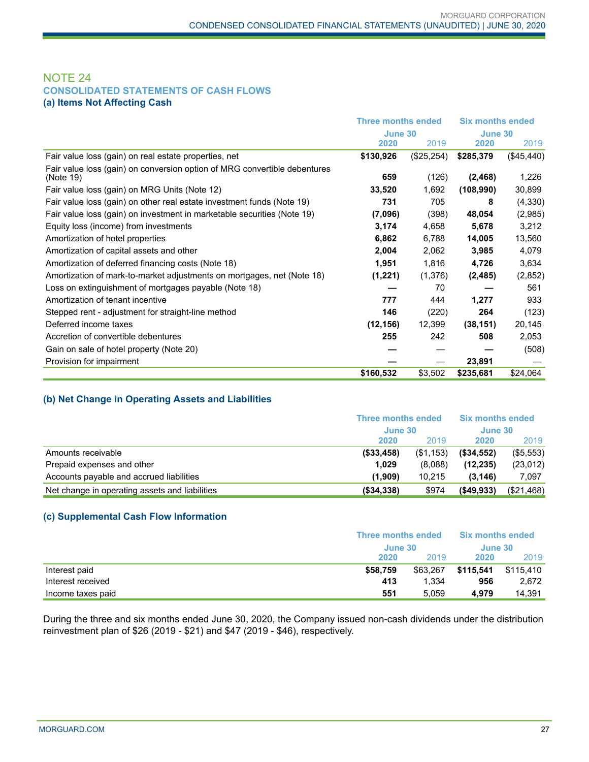## NOTE 24 **CONSOLIDATED STATEMENTS OF CASH FLOWS (a) Items Not Affecting Cash**

|                                                                                        | <b>Three months ended</b><br>June 30 |            | <b>Six months ended</b> |            |
|----------------------------------------------------------------------------------------|--------------------------------------|------------|-------------------------|------------|
|                                                                                        |                                      |            | June 30                 |            |
|                                                                                        | 2020                                 | 2019       | 2020                    | 2019       |
| Fair value loss (gain) on real estate properties, net                                  | \$130,926                            | (\$25,254) | \$285,379               | (\$45,440) |
| Fair value loss (gain) on conversion option of MRG convertible debentures<br>(Note 19) | 659                                  | (126)      | (2, 468)                | 1,226      |
| Fair value loss (gain) on MRG Units (Note 12)                                          | 33,520                               | 1,692      | (108,990)               | 30,899     |
| Fair value loss (gain) on other real estate investment funds (Note 19)                 | 731                                  | 705        | 8                       | (4,330)    |
| Fair value loss (gain) on investment in marketable securities (Note 19)                | (7,096)                              | (398)      | 48,054                  | (2,985)    |
| Equity loss (income) from investments                                                  | 3,174                                | 4,658      | 5,678                   | 3,212      |
| Amortization of hotel properties                                                       | 6,862                                | 6,788      | 14,005                  | 13,560     |
| Amortization of capital assets and other                                               | 2,004                                | 2,062      | 3,985                   | 4,079      |
| Amortization of deferred financing costs (Note 18)                                     | 1,951                                | 1,816      | 4,726                   | 3,634      |
| Amortization of mark-to-market adjustments on mortgages, net (Note 18)                 | (1,221)                              | (1,376)    | (2, 485)                | (2, 852)   |
| Loss on extinguishment of mortgages payable (Note 18)                                  |                                      | 70         |                         | 561        |
| Amortization of tenant incentive                                                       | 777                                  | 444        | 1,277                   | 933        |
| Stepped rent - adjustment for straight-line method                                     | 146                                  | (220)      | 264                     | (123)      |
| Deferred income taxes                                                                  | (12, 156)                            | 12,399     | (38, 151)               | 20,145     |
| Accretion of convertible debentures                                                    | 255                                  | 242        | 508                     | 2,053      |
| Gain on sale of hotel property (Note 20)                                               |                                      |            |                         | (508)      |
| Provision for impairment                                                               |                                      |            | 23,891                  |            |
|                                                                                        | \$160,532                            | \$3,502    | \$235,681               | \$24,064   |

## **(b) Net Change in Operating Assets and Liabilities**

|                                                | Three months ended<br>June 30 |           | <b>Six months ended</b><br>June 30 |            |
|------------------------------------------------|-------------------------------|-----------|------------------------------------|------------|
|                                                |                               |           |                                    |            |
|                                                | 2020                          | 2019      | 2020                               | 2019       |
| Amounts receivable                             | ( \$33,458)                   | (\$1,153) | (\$34,552)                         | (\$5,553)  |
| Prepaid expenses and other                     | 1,029                         | (8.088)   | (12, 235)                          | (23, 012)  |
| Accounts payable and accrued liabilities       | (1,909)                       | 10.215    | (3, 146)                           | 7,097      |
| Net change in operating assets and liabilities | (\$34,338)                    | \$974     | $($ \$49,933)                      | (\$21,468) |

## **(c) Supplemental Cash Flow Information**

|                   | Three months ended |          | <b>Six months ended</b> |           |
|-------------------|--------------------|----------|-------------------------|-----------|
|                   |                    | June 30  |                         | June 30   |
|                   | 2020               | 2019     | 2020                    | 2019      |
| Interest paid     | \$58,759           | \$63.267 | \$115.541               | \$115.410 |
| Interest received | 413                | 1.334    | 956                     | 2.672     |
| Income taxes paid | 551                | 5.059    | 4.979                   | 14,391    |

During the three and six months ended June 30, 2020, the Company issued non-cash dividends under the distribution reinvestment plan of \$26 (2019 - \$21) and \$47 (2019 - \$46), respectively.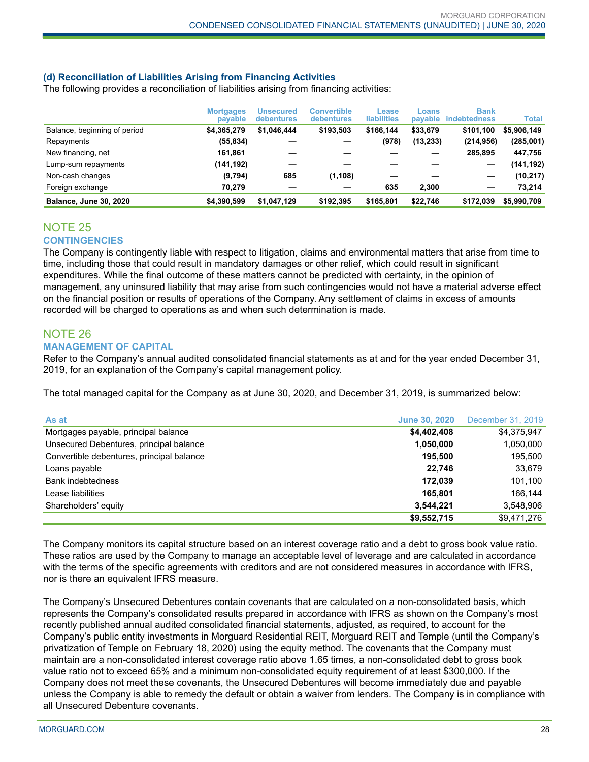## **(d) Reconciliation of Liabilities Arising from Financing Activities**

The following provides a reconciliation of liabilities arising from financing activities:

|                               | <b>Mortgages</b><br>payable | Unsecured<br>debentures | Convertible<br>debentures | Lease<br><b>liabilities</b> | Loans<br>payable | <b>Bank</b><br><b>indebtedness</b> | Total       |
|-------------------------------|-----------------------------|-------------------------|---------------------------|-----------------------------|------------------|------------------------------------|-------------|
| Balance, beginning of period  | \$4.365.279                 | \$1,046,444             | \$193,503                 | \$166.144                   | \$33,679         | \$101.100                          | \$5,906,149 |
| Repayments                    | (55, 834)                   |                         |                           | (978)                       | (13, 233)        | (214, 956)                         | (285,001)   |
| New financing, net            | 161,861                     |                         |                           |                             |                  | 285.895                            | 447,756     |
| Lump-sum repayments           | (141,192)                   |                         |                           |                             |                  |                                    | (141,192)   |
| Non-cash changes              | (9,794)                     | 685                     | (1, 108)                  |                             |                  | -                                  | (10, 217)   |
| Foreign exchange              | 70.279                      |                         |                           | 635                         | 2.300            | -                                  | 73.214      |
| <b>Balance, June 30, 2020</b> | \$4,390,599                 | \$1,047,129             | \$192.395                 | \$165,801                   | \$22.746         | \$172.039                          | \$5,990,709 |

## NOTE 25 **CONTINGENCIES**

The Company is contingently liable with respect to litigation, claims and environmental matters that arise from time to time, including those that could result in mandatory damages or other relief, which could result in significant expenditures. While the final outcome of these matters cannot be predicted with certainty, in the opinion of management, any uninsured liability that may arise from such contingencies would not have a material adverse effect on the financial position or results of operations of the Company. Any settlement of claims in excess of amounts recorded will be charged to operations as and when such determination is made.

#### NOTE 26 **MANAGEMENT OF CAPITAL**

Refer to the Company's annual audited consolidated financial statements as at and for the year ended December 31, 2019, for an explanation of the Company's capital management policy.

The total managed capital for the Company as at June 30, 2020, and December 31, 2019, is summarized below:

| As at                                     | <b>June 30, 2020</b> | December 31, 2019 |
|-------------------------------------------|----------------------|-------------------|
| Mortgages payable, principal balance      | \$4,402,408          | \$4,375,947       |
| Unsecured Debentures, principal balance   | 1,050,000            | 1,050,000         |
| Convertible debentures, principal balance | 195.500              | 195,500           |
| Loans payable                             | 22.746               | 33,679            |
| <b>Bank indebtedness</b>                  | 172.039              | 101,100           |
| Lease liabilities                         | 165.801              | 166.144           |
| Shareholders' equity                      | 3,544,221            | 3,548,906         |
|                                           | \$9,552,715          | \$9,471,276       |

The Company monitors its capital structure based on an interest coverage ratio and a debt to gross book value ratio. These ratios are used by the Company to manage an acceptable level of leverage and are calculated in accordance with the terms of the specific agreements with creditors and are not considered measures in accordance with IFRS, nor is there an equivalent IFRS measure.

The Company's Unsecured Debentures contain covenants that are calculated on a non-consolidated basis, which represents the Company's consolidated results prepared in accordance with IFRS as shown on the Company's most recently published annual audited consolidated financial statements, adjusted, as required, to account for the Company's public entity investments in Morguard Residential REIT, Morguard REIT and Temple (until the Company's privatization of Temple on February 18, 2020) using the equity method. The covenants that the Company must maintain are a non-consolidated interest coverage ratio above 1.65 times, a non-consolidated debt to gross book value ratio not to exceed 65% and a minimum non-consolidated equity requirement of at least \$300,000. If the Company does not meet these covenants, the Unsecured Debentures will become immediately due and payable unless the Company is able to remedy the default or obtain a waiver from lenders. The Company is in compliance with all Unsecured Debenture covenants.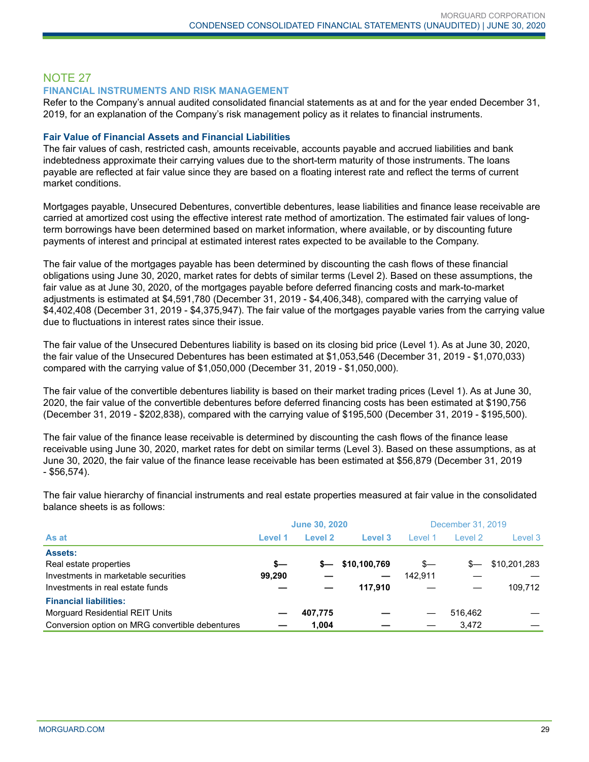## NOTE 27

#### **FINANCIAL INSTRUMENTS AND RISK MANAGEMENT**

Refer to the Company's annual audited consolidated financial statements as at and for the year ended December 31, 2019, for an explanation of the Company's risk management policy as it relates to financial instruments.

#### **Fair Value of Financial Assets and Financial Liabilities**

The fair values of cash, restricted cash, amounts receivable, accounts payable and accrued liabilities and bank indebtedness approximate their carrying values due to the short-term maturity of those instruments. The loans payable are reflected at fair value since they are based on a floating interest rate and reflect the terms of current market conditions.

Mortgages payable, Unsecured Debentures, convertible debentures, lease liabilities and finance lease receivable are carried at amortized cost using the effective interest rate method of amortization. The estimated fair values of longterm borrowings have been determined based on market information, where available, or by discounting future payments of interest and principal at estimated interest rates expected to be available to the Company.

The fair value of the mortgages payable has been determined by discounting the cash flows of these financial obligations using June 30, 2020, market rates for debts of similar terms (Level 2). Based on these assumptions, the fair value as at June 30, 2020, of the mortgages payable before deferred financing costs and mark-to-market adjustments is estimated at \$4,591,780 (December 31, 2019 - \$4,406,348), compared with the carrying value of \$4,402,408 (December 31, 2019 - \$4,375,947). The fair value of the mortgages payable varies from the carrying value due to fluctuations in interest rates since their issue.

The fair value of the Unsecured Debentures liability is based on its closing bid price (Level 1). As at June 30, 2020, the fair value of the Unsecured Debentures has been estimated at \$1,053,546 (December 31, 2019 - \$1,070,033) compared with the carrying value of \$1,050,000 (December 31, 2019 - \$1,050,000).

The fair value of the convertible debentures liability is based on their market trading prices (Level 1). As at June 30, 2020, the fair value of the convertible debentures before deferred financing costs has been estimated at \$190,756 (December 31, 2019 - \$202,838), compared with the carrying value of \$195,500 (December 31, 2019 - \$195,500).

The fair value of the finance lease receivable is determined by discounting the cash flows of the finance lease receivable using June 30, 2020, market rates for debt on similar terms (Level 3). Based on these assumptions, as at June 30, 2020, the fair value of the finance lease receivable has been estimated at \$56,879 (December 31, 2019 - \$56,574).

**June 30, 2020** December 31, 2019 **As at Level 1 Level 2 Level 3** Level 1 Level 2 Level 3 **Assets:** Real estate properties **\$— \$— \$10,100,769** \$— \$— \$10,201,283 Investments in marketable securities **99,290** — 2142,911 Investments in real estate funds **— — 117,910** — — 109,712 **Financial liabilities:** Morguard Residential REIT Units **— 407,775 —** — 516,462 — Conversion option on MRG convertible debentures **— 1,004 —** — 3,472 —

The fair value hierarchy of financial instruments and real estate properties measured at fair value in the consolidated balance sheets is as follows: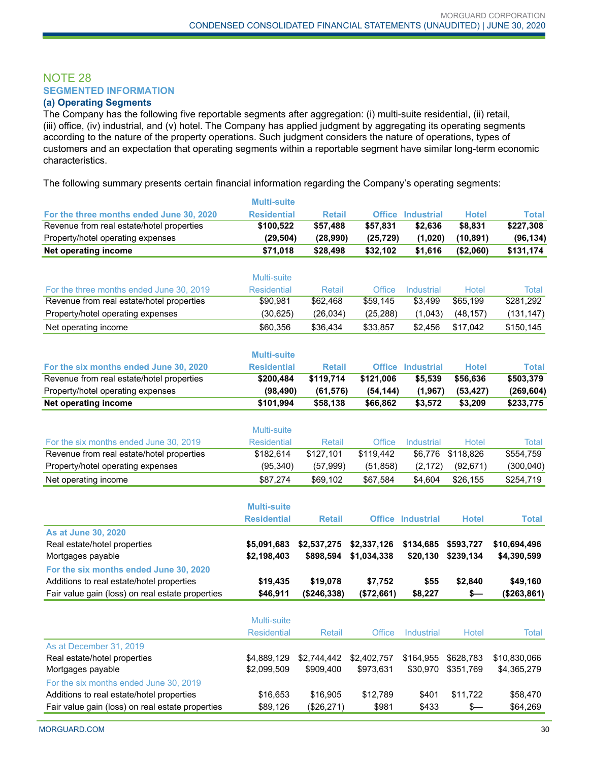## NOTE 28 **SEGMENTED INFORMATION**

## **(a) Operating Segments**

The Company has the following five reportable segments after aggregation: (i) multi-suite residential, (ii) retail, (iii) office, (iv) industrial, and (v) hotel. The Company has applied judgment by aggregating its operating segments according to the nature of the property operations. Such judgment considers the nature of operations, types of customers and an expectation that operating segments within a reportable segment have similar long-term economic characteristics.

The following summary presents certain financial information regarding the Company's operating segments:

|                                                  | <b>Multi-suite</b> |               |               |                          |               |              |
|--------------------------------------------------|--------------------|---------------|---------------|--------------------------|---------------|--------------|
| For the three months ended June 30, 2020         | <b>Residential</b> | <b>Retail</b> |               | <b>Office Industrial</b> | <b>Hotel</b>  | <b>Total</b> |
| Revenue from real estate/hotel properties        | \$100,522          | \$57,488      | \$57,831      | \$2,636                  | \$8,831       | \$227,308    |
| Property/hotel operating expenses                | (29, 504)          | (28,990)      | (25, 729)     | (1,020)                  | (10, 891)     | (96, 134)    |
| Net operating income                             | \$71,018           | \$28,498      | \$32,102      | \$1,616                  | (\$2,060)     | \$131,174    |
|                                                  |                    |               |               |                          |               |              |
|                                                  | <b>Multi-suite</b> |               |               |                          |               |              |
| For the three months ended June 30, 2019         | <b>Residential</b> | <b>Retail</b> | <b>Office</b> | Industrial               | <b>Hotel</b>  | Total        |
| Revenue from real estate/hotel properties        | \$90,981           | \$62,468      | \$59,145      | \$3,499                  | \$65,199      | \$281,292    |
| Property/hotel operating expenses                | (30, 625)          | (26, 034)     | (25, 288)     | (1,043)                  | (48, 157)     | (131, 147)   |
| Net operating income                             | \$60,356           | \$36,434      | \$33,857      | \$2,456                  | \$17,042      | \$150,145    |
|                                                  |                    |               |               |                          |               |              |
|                                                  | <b>Multi-suite</b> |               |               |                          |               |              |
| For the six months ended June 30, 2020           | <b>Residential</b> | <b>Retail</b> |               | <b>Office Industrial</b> | <b>Hotel</b>  | <b>Total</b> |
| Revenue from real estate/hotel properties        | \$200,484          | \$119,714     | \$121,006     | \$5,539                  | \$56,636      | \$503,379    |
| Property/hotel operating expenses                | (98, 490)          | (61, 576)     | (54, 144)     | (1, 967)                 | (53, 427)     | (269, 604)   |
| Net operating income                             | \$101,994          | \$58,138      | \$66,862      | \$3,572                  | \$3,209       | \$233,775    |
|                                                  |                    |               |               |                          |               |              |
|                                                  | Multi-suite        |               |               |                          |               |              |
| For the six months ended June 30, 2019           | <b>Residential</b> | <b>Retail</b> | Office        | Industrial               | <b>Hotel</b>  | <b>Total</b> |
| Revenue from real estate/hotel properties        | \$182,614          | \$127,101     | \$119,442     | \$6,776                  | \$118,826     | \$554,759    |
| Property/hotel operating expenses                | (95, 340)          | (57, 999)     | (51, 858)     | (2, 172)                 | (92, 671)     | (300, 040)   |
| Net operating income                             | \$87,274           | \$69,102      | \$67,584      | \$4,604                  | \$26,155      | \$254,719    |
|                                                  |                    |               |               |                          |               |              |
|                                                  | <b>Multi-suite</b> |               |               |                          |               |              |
|                                                  | <b>Residential</b> | <b>Retail</b> |               | <b>Office Industrial</b> | <b>Hotel</b>  | <b>Total</b> |
| As at June 30, 2020                              |                    |               |               |                          |               |              |
| Real estate/hotel properties                     | \$5,091,683        | \$2,537,275   | \$2,337,126   | \$134,685                | \$593,727     | \$10,694,496 |
| Mortgages payable                                | \$2,198,403        | \$898,594     | \$1,034,338   | \$20,130                 | \$239,134     | \$4,390,599  |
| For the six months ended June 30, 2020           |                    |               |               |                          |               |              |
| Additions to real estate/hotel properties        | \$19,435           | \$19,078      | \$7,752       | \$55                     | \$2,840       | \$49,160     |
| Fair value gain (loss) on real estate properties | \$46,911           | (\$246,338)   | (\$72,661)    | \$8,227                  | \$—           | (\$263,861)  |
|                                                  |                    |               |               |                          |               |              |
|                                                  | Multi-suite        |               |               |                          |               |              |
|                                                  | <b>Residential</b> | <b>Retail</b> | <b>Office</b> | Industrial               | <b>Hotel</b>  | Total        |
| As at December 31, 2019                          |                    |               |               |                          |               |              |
| Real estate/hotel properties                     | \$4,889,129        | \$2,744,442   | \$2,402,757   | \$164,955                | \$628,783     | \$10,830,066 |
| Mortgages payable                                | \$2,099,509        | \$909,400     | \$973,631     | \$30,970                 | \$351,769     | \$4,365,279  |
| For the six months ended June 30, 2019           |                    |               |               |                          |               |              |
| Additions to real estate/hotel properties        | \$16,653           | \$16,905      | \$12,789      | \$401                    | \$11,722      | \$58,470     |
| Fair value gain (loss) on real estate properties | \$89,126           | (\$26,271)    | \$981         | \$433                    | $\frac{2}{3}$ | \$64,269     |
|                                                  |                    |               |               |                          |               |              |